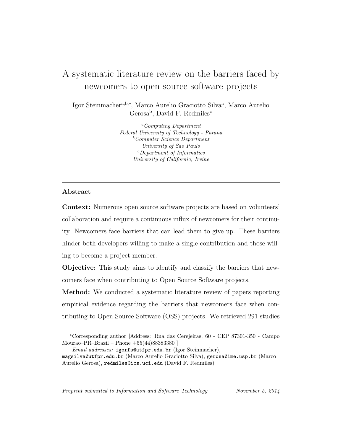# A systematic literature review on the barriers faced by newcomers to open source software projects

Igor Steinmacher<sup>a, b,\*</sup>, Marco Aurelio Graciotto Silva<sup>a</sup>, Marco Aurelio Gerosa<sup>b</sup>, David F. Redmiles<sup>c</sup>

> <sup>a</sup>Computing Department Federal University of Technology - Parana  $b$  Computer Science Department University of Sao Paulo <sup>c</sup>Department of Informatics University of California, Irvine

## Abstract

Context: Numerous open source software projects are based on volunteers' collaboration and require a continuous influx of newcomers for their continuity. Newcomers face barriers that can lead them to give up. These barriers hinder both developers willing to make a single contribution and those willing to become a project member.

Objective: This study aims to identify and classify the barriers that newcomers face when contributing to Open Source Software projects.

Method: We conducted a systematic literature review of papers reporting empirical evidence regarding the barriers that newcomers face when contributing to Open Source Software (OSS) projects. We retrieved 291 studies

Email addresses: igorfs@utfpr.edu.br (Igor Steinmacher),

Preprint submitted to Information and Software Technology November 5, 2014

<sup>\*</sup>Corresponding author [Address: Rua das Cerejeiras, 60 - CEP 87301-350 - Campo Mourao–PR–Brazil – Phone +55(44)88383380 ]

magsilva@utfpr.edu.br (Marco Aurelio Graciotto Silva), gerosa@ime.usp.br (Marco Aurelio Gerosa), redmiles@ics.uci.edu (David F. Redmiles)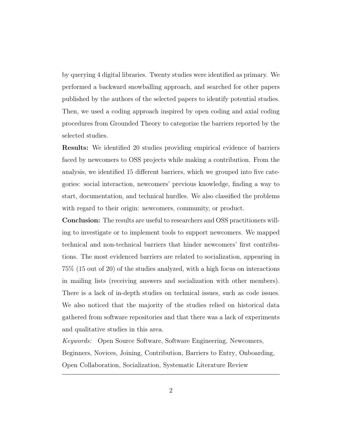by querying 4 digital libraries. Twenty studies were identified as primary. We performed a backward snowballing approach, and searched for other papers published by the authors of the selected papers to identify potential studies. Then, we used a coding approach inspired by open coding and axial coding procedures from Grounded Theory to categorize the barriers reported by the selected studies.

Results: We identified 20 studies providing empirical evidence of barriers faced by newcomers to OSS projects while making a contribution. From the analysis, we identified 15 different barriers, which we grouped into five categories: social interaction, newcomers' previous knowledge, finding a way to start, documentation, and technical hurdles. We also classified the problems with regard to their origin: newcomers, community, or product.

Conclusion: The results are useful to researchers and OSS practitioners willing to investigate or to implement tools to support newcomers. We mapped technical and non-technical barriers that hinder newcomers' first contributions. The most evidenced barriers are related to socialization, appearing in 75% (15 out of 20) of the studies analyzed, with a high focus on interactions in mailing lists (receiving answers and socialization with other members). There is a lack of in-depth studies on technical issues, such as code issues. We also noticed that the majority of the studies relied on historical data gathered from software repositories and that there was a lack of experiments and qualitative studies in this area.

Keywords: Open Source Software, Software Engineering, Newcomers, Beginners, Novices, Joining, Contribution, Barriers to Entry, Onboarding, Open Collaboration, Socialization, Systematic Literature Review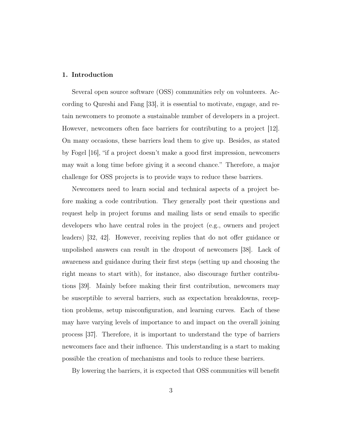#### 1. Introduction

Several open source software (OSS) communities rely on volunteers. According to Qureshi and Fang [33], it is essential to motivate, engage, and retain newcomers to promote a sustainable number of developers in a project. However, newcomers often face barriers for contributing to a project [12]. On many occasions, these barriers lead them to give up. Besides, as stated by Fogel [16], "if a project doesn't make a good first impression, newcomers may wait a long time before giving it a second chance." Therefore, a major challenge for OSS projects is to provide ways to reduce these barriers.

Newcomers need to learn social and technical aspects of a project before making a code contribution. They generally post their questions and request help in project forums and mailing lists or send emails to specific developers who have central roles in the project (e.g., owners and project leaders) [32, 42]. However, receiving replies that do not offer guidance or unpolished answers can result in the dropout of newcomers [38]. Lack of awareness and guidance during their first steps (setting up and choosing the right means to start with), for instance, also discourage further contributions [39]. Mainly before making their first contribution, newcomers may be susceptible to several barriers, such as expectation breakdowns, reception problems, setup misconfiguration, and learning curves. Each of these may have varying levels of importance to and impact on the overall joining process [37]. Therefore, it is important to understand the type of barriers newcomers face and their influence. This understanding is a start to making possible the creation of mechanisms and tools to reduce these barriers.

By lowering the barriers, it is expected that OSS communities will benefit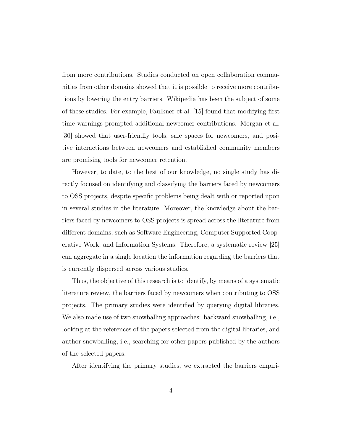from more contributions. Studies conducted on open collaboration communities from other domains showed that it is possible to receive more contributions by lowering the entry barriers. Wikipedia has been the subject of some of these studies. For example, Faulkner et al. [15] found that modifying first time warnings prompted additional newcomer contributions. Morgan et al. [30] showed that user-friendly tools, safe spaces for newcomers, and positive interactions between newcomers and established community members are promising tools for newcomer retention.

However, to date, to the best of our knowledge, no single study has directly focused on identifying and classifying the barriers faced by newcomers to OSS projects, despite specific problems being dealt with or reported upon in several studies in the literature. Moreover, the knowledge about the barriers faced by newcomers to OSS projects is spread across the literature from different domains, such as Software Engineering, Computer Supported Cooperative Work, and Information Systems. Therefore, a systematic review [25] can aggregate in a single location the information regarding the barriers that is currently dispersed across various studies.

Thus, the objective of this research is to identify, by means of a systematic literature review, the barriers faced by newcomers when contributing to OSS projects. The primary studies were identified by querying digital libraries. We also made use of two snowballing approaches: backward snowballing, i.e., looking at the references of the papers selected from the digital libraries, and author snowballing, i.e., searching for other papers published by the authors of the selected papers.

After identifying the primary studies, we extracted the barriers empiri-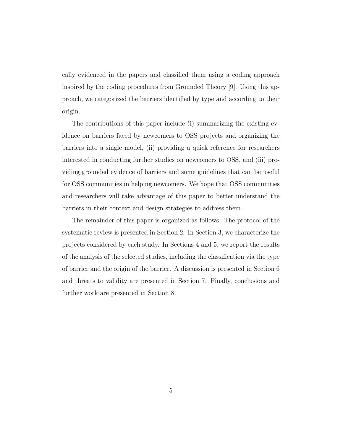cally evidenced in the papers and classified them using a coding approach inspired by the coding procedures from Grounded Theory [9]. Using this approach, we categorized the barriers identified by type and according to their origin.

The contributions of this paper include (i) summarizing the existing evidence on barriers faced by newcomers to OSS projects and organizing the barriers into a single model, (ii) providing a quick reference for researchers interested in conducting further studies on newcomers to OSS, and (iii) providing grounded evidence of barriers and some guidelines that can be useful for OSS communities in helping newcomers. We hope that OSS communities and researchers will take advantage of this paper to better understand the barriers in their context and design strategies to address them.

The remainder of this paper is organized as follows. The protocol of the systematic review is presented in Section 2. In Section 3, we characterize the projects considered by each study. In Sections 4 and 5, we report the results of the analysis of the selected studies, including the classification via the type of barrier and the origin of the barrier. A discussion is presented in Section 6 and threats to validity are presented in Section 7. Finally, conclusions and further work are presented in Section 8.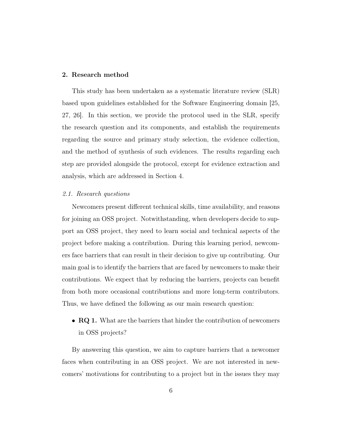#### 2. Research method

This study has been undertaken as a systematic literature review (SLR) based upon guidelines established for the Software Engineering domain [25, 27, 26]. In this section, we provide the protocol used in the SLR, specify the research question and its components, and establish the requirements regarding the source and primary study selection, the evidence collection, and the method of synthesis of such evidences. The results regarding each step are provided alongside the protocol, except for evidence extraction and analysis, which are addressed in Section 4.

#### 2.1. Research questions

Newcomers present different technical skills, time availability, and reasons for joining an OSS project. Notwithstanding, when developers decide to support an OSS project, they need to learn social and technical aspects of the project before making a contribution. During this learning period, newcomers face barriers that can result in their decision to give up contributing. Our main goal is to identify the barriers that are faced by newcomers to make their contributions. We expect that by reducing the barriers, projects can benefit from both more occasional contributions and more long-term contributors. Thus, we have defined the following as our main research question:

∙ RQ 1. What are the barriers that hinder the contribution of newcomers in OSS projects?

By answering this question, we aim to capture barriers that a newcomer faces when contributing in an OSS project. We are not interested in newcomers' motivations for contributing to a project but in the issues they may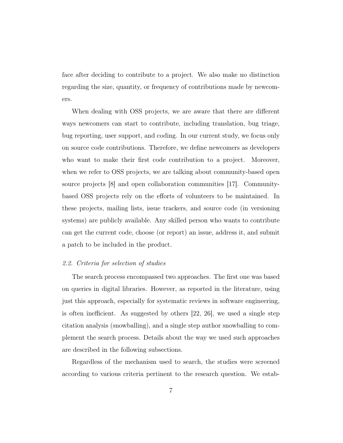face after deciding to contribute to a project. We also make no distinction regarding the size, quantity, or frequency of contributions made by newcomers.

When dealing with OSS projects, we are aware that there are different ways newcomers can start to contribute, including translation, bug triage, bug reporting, user support, and coding. In our current study, we focus only on source code contributions. Therefore, we define newcomers as developers who want to make their first code contribution to a project. Moreover, when we refer to OSS projects, we are talking about community-based open source projects  $|8|$  and open collaboration communities [17]. Communitybased OSS projects rely on the efforts of volunteers to be maintained. In these projects, mailing lists, issue trackers, and source code (in versioning systems) are publicly available. Any skilled person who wants to contribute can get the current code, choose (or report) an issue, address it, and submit a patch to be included in the product.

## 2.2. Criteria for selection of studies

The search process encompassed two approaches. The first one was based on queries in digital libraries. However, as reported in the literature, using just this approach, especially for systematic reviews in software engineering, is often inefficient. As suggested by others [22, 26], we used a single step citation analysis (snowballing), and a single step author snowballing to complement the search process. Details about the way we used such approaches are described in the following subsections.

Regardless of the mechanism used to search, the studies were screened according to various criteria pertinent to the research question. We estab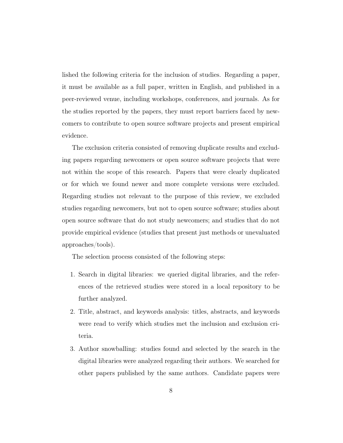lished the following criteria for the inclusion of studies. Regarding a paper, it must be available as a full paper, written in English, and published in a peer-reviewed venue, including workshops, conferences, and journals. As for the studies reported by the papers, they must report barriers faced by newcomers to contribute to open source software projects and present empirical evidence.

The exclusion criteria consisted of removing duplicate results and excluding papers regarding newcomers or open source software projects that were not within the scope of this research. Papers that were clearly duplicated or for which we found newer and more complete versions were excluded. Regarding studies not relevant to the purpose of this review, we excluded studies regarding newcomers, but not to open source software; studies about open source software that do not study newcomers; and studies that do not provide empirical evidence (studies that present just methods or unevaluated approaches/tools).

The selection process consisted of the following steps:

- 1. Search in digital libraries: we queried digital libraries, and the references of the retrieved studies were stored in a local repository to be further analyzed.
- 2. Title, abstract, and keywords analysis: titles, abstracts, and keywords were read to verify which studies met the inclusion and exclusion criteria.
- 3. Author snowballing: studies found and selected by the search in the digital libraries were analyzed regarding their authors. We searched for other papers published by the same authors. Candidate papers were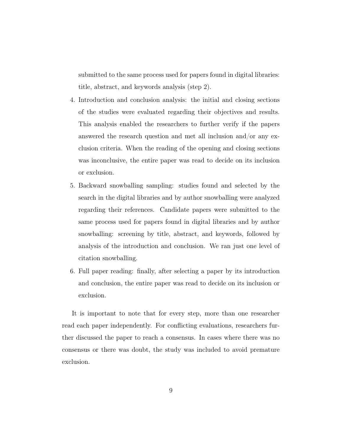submitted to the same process used for papers found in digital libraries: title, abstract, and keywords analysis (step 2).

- 4. Introduction and conclusion analysis: the initial and closing sections of the studies were evaluated regarding their objectives and results. This analysis enabled the researchers to further verify if the papers answered the research question and met all inclusion and/or any exclusion criteria. When the reading of the opening and closing sections was inconclusive, the entire paper was read to decide on its inclusion or exclusion.
- 5. Backward snowballing sampling: studies found and selected by the search in the digital libraries and by author snowballing were analyzed regarding their references. Candidate papers were submitted to the same process used for papers found in digital libraries and by author snowballing: screening by title, abstract, and keywords, followed by analysis of the introduction and conclusion. We ran just one level of citation snowballing.
- 6. Full paper reading: finally, after selecting a paper by its introduction and conclusion, the entire paper was read to decide on its inclusion or exclusion.

It is important to note that for every step, more than one researcher read each paper independently. For conflicting evaluations, researchers further discussed the paper to reach a consensus. In cases where there was no consensus or there was doubt, the study was included to avoid premature exclusion.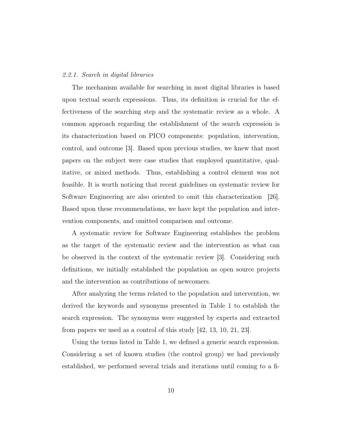#### 2.2.1. Search in digital libraries

The mechanism available for searching in most digital libraries is based upon textual search expressions. Thus, its definition is crucial for the effectiveness of the searching step and the systematic review as a whole. A common approach regarding the establishment of the search expression is its characterization based on PICO components: population, intervention, control, and outcome [3]. Based upon previous studies, we knew that most papers on the subject were case studies that employed quantitative, qualitative, or mixed methods. Thus, establishing a control element was not feasible. It is worth noticing that recent guidelines on systematic review for Software Engineering are also oriented to omit this characterization [26]. Based upon these recommendations, we have kept the population and intervention components, and omitted comparison and outcome.

A systematic review for Software Engineering establishes the problem as the target of the systematic review and the intervention as what can be observed in the context of the systematic review [3]. Considering such definitions, we initially established the population as open source projects and the intervention as contributions of newcomers.

After analyzing the terms related to the population and intervention, we derived the keywords and synonyms presented in Table 1 to establish the search expression. The synonyms were suggested by experts and extracted from papers we used as a control of this study [42, 13, 10, 21, 23].

Using the terms listed in Table 1, we defined a generic search expression. Considering a set of known studies (the control group) we had previously established, we performed several trials and iterations until coming to a fi-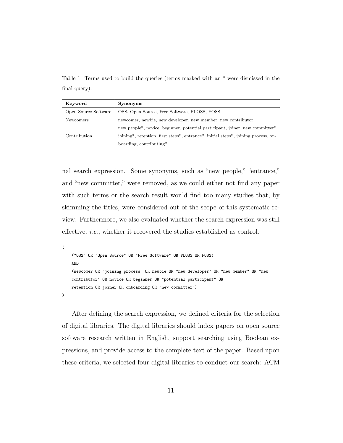Table 1: Terms used to build the queries (terms marked with an \* were dismissed in the final query).

| Keyword              | <b>Synonyms</b>                                                                                       |
|----------------------|-------------------------------------------------------------------------------------------------------|
| Open Source Software | OSS, Open Source, Free Software, FLOSS, FOSS                                                          |
| Newcomers            | newcomer, newbie, new developer, new member, new contributor,                                         |
|                      | new people <sup>*</sup> , novice, beginner, potential participant, joiner, new committer <sup>*</sup> |
| Contribution         | joining*, retention, first steps*, entrance*, initial steps*, joining process, on-                    |
|                      | boarding, contributing*                                                                               |

nal search expression. Some synonyms, such as "new people," "entrance," and "new committer," were removed, as we could either not find any paper with such terms or the search result would find too many studies that, by skimming the titles, were considered out of the scope of this systematic review. Furthermore, we also evaluated whether the search expression was still effective, i.e., whether it recovered the studies established as control.

```
(
 ("OSS" OR "Open Source" OR "Free Software" OR FLOSS OR FOSS)
 AND
 (newcomer OR "joining process" OR newbie OR "new developer" OR "new member" OR "new
 contributor" OR novice OR beginner OR "potential participant" OR
retention OR joiner OR onboarding OR "new committer")
```
)

After defining the search expression, we defined criteria for the selection of digital libraries. The digital libraries should index papers on open source software research written in English, support searching using Boolean expressions, and provide access to the complete text of the paper. Based upon these criteria, we selected four digital libraries to conduct our search: ACM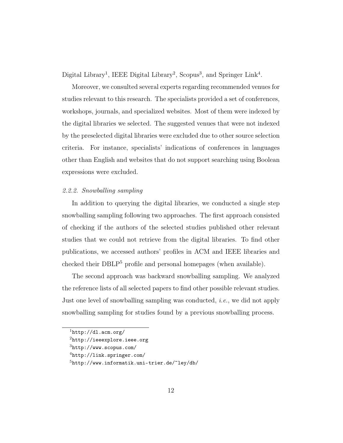Digital Library<sup>1</sup>, IEEE Digital Library<sup>2</sup>, Scopus<sup>3</sup>, and Springer Link<sup>4</sup>.

Moreover, we consulted several experts regarding recommended venues for studies relevant to this research. The specialists provided a set of conferences, workshops, journals, and specialized websites. Most of them were indexed by the digital libraries we selected. The suggested venues that were not indexed by the preselected digital libraries were excluded due to other source selection criteria. For instance, specialists' indications of conferences in languages other than English and websites that do not support searching using Boolean expressions were excluded.

## 2.2.2. Snowballing sampling

In addition to querying the digital libraries, we conducted a single step snowballing sampling following two approaches. The first approach consisted of checking if the authors of the selected studies published other relevant studies that we could not retrieve from the digital libraries. To find other publications, we accessed authors' profiles in ACM and IEEE libraries and checked their DBLP<sup>5</sup> profile and personal homepages (when available).

The second approach was backward snowballing sampling. We analyzed the reference lists of all selected papers to find other possible relevant studies. Just one level of snowballing sampling was conducted, i.e., we did not apply snowballing sampling for studies found by a previous snowballing process.

 $<sup>1</sup>$ http://dl.acm.org/</sup>

 $^{2}$ http://ieeexplore.ieee.org

 $3$ http://www.scopus.com/

 $^{4}$ http://link.springer.com/

 $5$ http://www.informatik.uni-trier.de/~ley/db/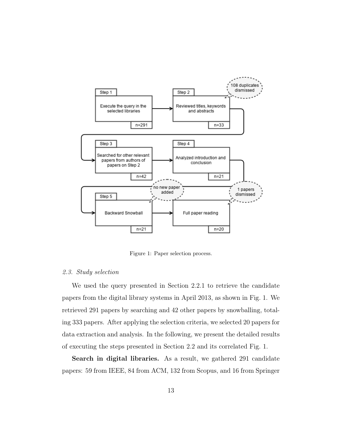

Figure 1: Paper selection process.

### 2.3. Study selection

We used the query presented in Section 2.2.1 to retrieve the candidate papers from the digital library systems in April 2013, as shown in Fig. 1. We retrieved 291 papers by searching and 42 other papers by snowballing, totaling 333 papers. After applying the selection criteria, we selected 20 papers for data extraction and analysis. In the following, we present the detailed results of executing the steps presented in Section 2.2 and its correlated Fig. 1.

Search in digital libraries. As a result, we gathered 291 candidate papers: 59 from IEEE, 84 from ACM, 132 from Scopus, and 16 from Springer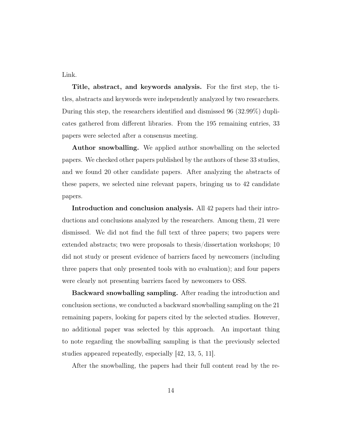Link.

Title, abstract, and keywords analysis. For the first step, the titles, abstracts and keywords were independently analyzed by two researchers. During this step, the researchers identified and dismissed 96 (32.99%) duplicates gathered from different libraries. From the 195 remaining entries, 33 papers were selected after a consensus meeting.

Author snowballing. We applied author snowballing on the selected papers. We checked other papers published by the authors of these 33 studies, and we found 20 other candidate papers. After analyzing the abstracts of these papers, we selected nine relevant papers, bringing us to 42 candidate papers.

Introduction and conclusion analysis. All 42 papers had their introductions and conclusions analyzed by the researchers. Among them, 21 were dismissed. We did not find the full text of three papers; two papers were extended abstracts; two were proposals to thesis/dissertation workshops; 10 did not study or present evidence of barriers faced by newcomers (including three papers that only presented tools with no evaluation); and four papers were clearly not presenting barriers faced by newcomers to OSS.

Backward snowballing sampling. After reading the introduction and conclusion sections, we conducted a backward snowballing sampling on the 21 remaining papers, looking for papers cited by the selected studies. However, no additional paper was selected by this approach. An important thing to note regarding the snowballing sampling is that the previously selected studies appeared repeatedly, especially [42, 13, 5, 11].

After the snowballing, the papers had their full content read by the re-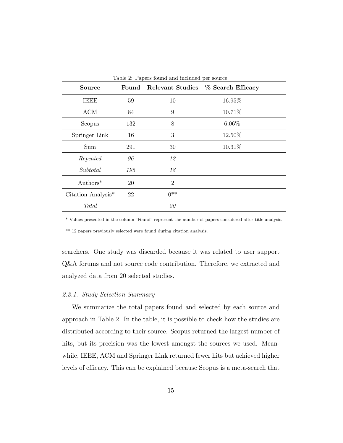| <b>Source</b>      | Found |                | Relevant Studies % Search Efficacy |
|--------------------|-------|----------------|------------------------------------|
| IEEE               | 59    | 10             | 16.95%                             |
| <b>ACM</b>         | 84    | 9              | 10.71%                             |
| Scopus             | 132   | 8              | $6.06\%$                           |
| Springer Link      | 16    | 3              | 12.50%                             |
| Sum                | 291   | 30             | 10.31\%                            |
| Repeated           | 96    | 12             |                                    |
| Subtotal           | 195   | 18             |                                    |
| $\text{Authors}^*$ | 20    | $\overline{2}$ |                                    |
| Citation Analysis* | 22    | $0***$         |                                    |
| <b>Total</b>       |       | 20             |                                    |

\* Values presented in the column "Found" represent the number of papers considered after title analysis.

\*\* 12 papers previously selected were found during citation analysis.

searchers. One study was discarded because it was related to user support Q&A forums and not source code contribution. Therefore, we extracted and analyzed data from 20 selected studies.

#### 2.3.1. Study Selection Summary

We summarize the total papers found and selected by each source and approach in Table 2. In the table, it is possible to check how the studies are distributed according to their source. Scopus returned the largest number of hits, but its precision was the lowest amongst the sources we used. Meanwhile, IEEE, ACM and Springer Link returned fewer hits but achieved higher levels of efficacy. This can be explained because Scopus is a meta-search that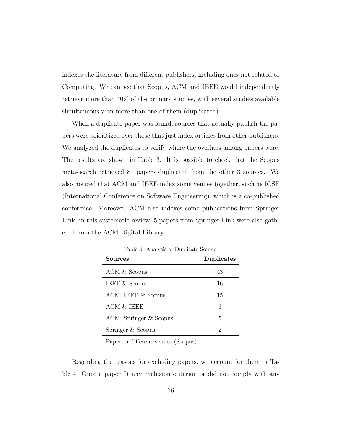indexes the literature from different publishers, including ones not related to Computing. We can see that Scopus, ACM and IEEE would independently retrieve more than 40% of the primary studies, with several studies available simultaneously on more than one of them (duplicated).

When a duplicate paper was found, sources that actually publish the papers were prioritized over those that just index articles from other publishers. We analyzed the duplicates to verify where the overlaps among papers were. The results are shown in Table 3. It is possible to check that the Scopus meta-search retrieved 81 papers duplicated from the other 3 sources. We also noticed that ACM and IEEE index some venues together, such as ICSE (International Conference on Software Engineering), which is a co-published conference. Moreover, ACM also indexes some publications from Springer Link; in this systematic review, 5 papers from Springer Link were also gathered from the ACM Digital Library.

| Sources                            | <b>Duplicates</b> |  |
|------------------------------------|-------------------|--|
| ACM & Scopus                       | 43                |  |
| <b>IEEE &amp; Scopus</b>           | 16                |  |
| $ACM$ , IEEE $&$ Scopus            | 15                |  |
| ACM & IEEE                         | 6                 |  |
| ACM, Springer & Scopus             | 5                 |  |
| Springer & Scopus                  | 2                 |  |
| Paper in different venues (Scopus) |                   |  |

Table 2: Analysis of Duplicate S

Regarding the reasons for excluding papers, we account for them in Table 4. Once a paper fit any exclusion criterion or did not comply with any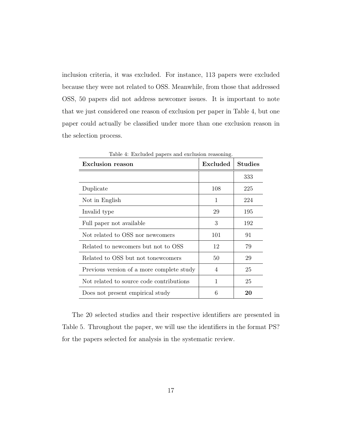inclusion criteria, it was excluded. For instance, 113 papers were excluded because they were not related to OSS. Meanwhile, from those that addressed OSS, 50 papers did not address newcomer issues. It is important to note that we just considered one reason of exclusion per paper in Table 4, but one paper could actually be classified under more than one exclusion reason in the selection process.

| <b>Exclusion reason</b>                   | Excluded | <b>Studies</b> |  |
|-------------------------------------------|----------|----------------|--|
|                                           |          | 333            |  |
| Duplicate                                 | 108      | 225            |  |
| Not in English                            | 1        | 224            |  |
| Invalid type                              | 29       | 195            |  |
| Full paper not available                  | 3        | 192            |  |
| Not related to OSS nor newcomers          | 101      | 91             |  |
| Related to newcomers but not to OSS       | 12       | 79             |  |
| Related to OSS but not tonewcomers        | 50       | 29             |  |
| Previous version of a more complete study | 4        | 25             |  |
| Not related to source code contributions  | 1        | 25             |  |
| Does not present empirical study          | 6        | 20             |  |

Table 4: Excluded papers and exclusion reasoning.

The 20 selected studies and their respective identifiers are presented in Table 5. Throughout the paper, we will use the identifiers in the format PS? for the papers selected for analysis in the systematic review.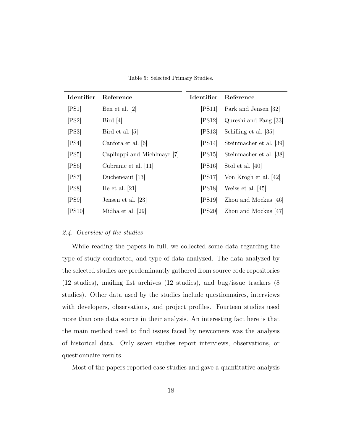| Identifier | Reference                   | Identifier | Reference               |
|------------|-----------------------------|------------|-------------------------|
| [PS1]      | Ben et al. $ 2 $            | [PS11]     | Park and Jensen [32]    |
| [PS2]      | Bird $[4]$                  | [PS12]     | Qureshi and Fang [33]   |
| [PS3]      | Bird et al. [5]             | [PS13]     | Schilling et al. [35]   |
| [PS4]      | Canfora et al. [6]          | [PS14]     | Steinmacher et al. [39] |
| [PS5]      | Capiluppi and Michlmayr [7] | [PS15]     | Steinmacher et al. [38] |
| [PS6]      | Cubranic et al. [11]        | [PS16]     | Stol et al. [40]        |
| [PS7]      | Ducheneaut [13]             | [PS17]     | Von Krogh et al. [42]   |
| [PS8]      | He et al. $ 21 $            | [PS18]     | Weiss et al. $[45]$     |
| [PS9]      | Jensen et al. [23]          | [PS19]     | Zhou and Mockus [46]    |
| [PS10]     | Midha et al. 29             | [PS20]     | Zhou and Mockus [47]    |

Table 5: Selected Primary Studies.

## 2.4. Overview of the studies

While reading the papers in full, we collected some data regarding the type of study conducted, and type of data analyzed. The data analyzed by the selected studies are predominantly gathered from source code repositories (12 studies), mailing list archives (12 studies), and bug/issue trackers (8 studies). Other data used by the studies include questionnaires, interviews with developers, observations, and project profiles. Fourteen studies used more than one data source in their analysis. An interesting fact here is that the main method used to find issues faced by newcomers was the analysis of historical data. Only seven studies report interviews, observations, or questionnaire results.

Most of the papers reported case studies and gave a quantitative analysis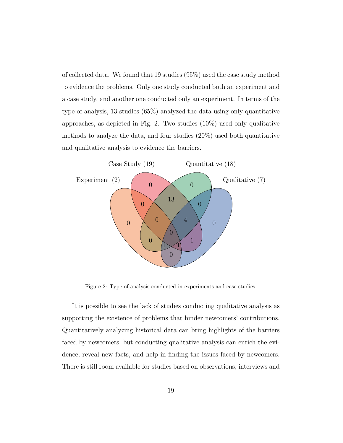of collected data. We found that 19 studies (95%) used the case study method to evidence the problems. Only one study conducted both an experiment and a case study, and another one conducted only an experiment. In terms of the type of analysis, 13 studies (65%) analyzed the data using only quantitative approaches, as depicted in Fig. 2. Two studies (10%) used only qualitative methods to analyze the data, and four studies  $(20\%)$  used both quantitative and qualitative analysis to evidence the barriers.



Figure 2: Type of analysis conducted in experiments and case studies.

It is possible to see the lack of studies conducting qualitative analysis as supporting the existence of problems that hinder newcomers' contributions. Quantitatively analyzing historical data can bring highlights of the barriers faced by newcomers, but conducting qualitative analysis can enrich the evidence, reveal new facts, and help in finding the issues faced by newcomers. There is still room available for studies based on observations, interviews and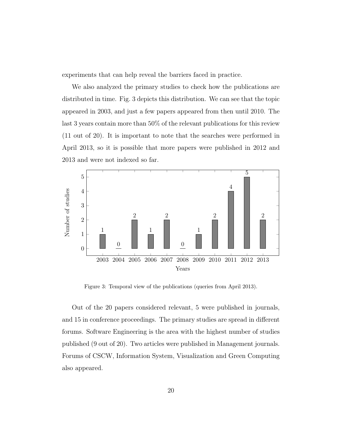experiments that can help reveal the barriers faced in practice.

We also analyzed the primary studies to check how the publications are distributed in time. Fig. 3 depicts this distribution. We can see that the topic appeared in 2003, and just a few papers appeared from then until 2010. The last 3 years contain more than 50% of the relevant publications for this review (11 out of 20). It is important to note that the searches were performed in April 2013, so it is possible that more papers were published in 2012 and 2013 and were not indexed so far.



Figure 3: Temporal view of the publications (queries from April 2013).

Out of the 20 papers considered relevant, 5 were published in journals, and 15 in conference proceedings. The primary studies are spread in different forums. Software Engineering is the area with the highest number of studies published (9 out of 20). Two articles were published in Management journals. Forums of CSCW, Information System, Visualization and Green Computing also appeared.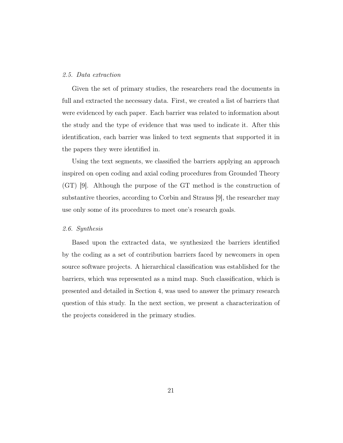#### 2.5. Data extraction

Given the set of primary studies, the researchers read the documents in full and extracted the necessary data. First, we created a list of barriers that were evidenced by each paper. Each barrier was related to information about the study and the type of evidence that was used to indicate it. After this identification, each barrier was linked to text segments that supported it in the papers they were identified in.

Using the text segments, we classified the barriers applying an approach inspired on open coding and axial coding procedures from Grounded Theory (GT) [9]. Although the purpose of the GT method is the construction of substantive theories, according to Corbin and Strauss [9], the researcher may use only some of its procedures to meet one's research goals.

#### 2.6. Synthesis

Based upon the extracted data, we synthesized the barriers identified by the coding as a set of contribution barriers faced by newcomers in open source software projects. A hierarchical classification was established for the barriers, which was represented as a mind map. Such classification, which is presented and detailed in Section 4, was used to answer the primary research question of this study. In the next section, we present a characterization of the projects considered in the primary studies.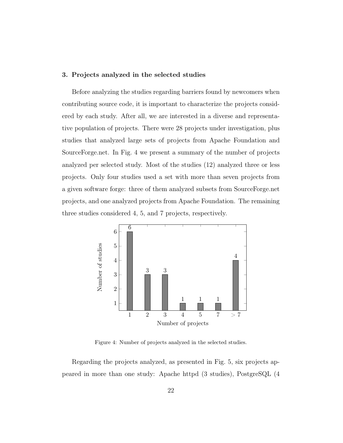## 3. Projects analyzed in the selected studies

Before analyzing the studies regarding barriers found by newcomers when contributing source code, it is important to characterize the projects considered by each study. After all, we are interested in a diverse and representative population of projects. There were 28 projects under investigation, plus studies that analyzed large sets of projects from Apache Foundation and SourceForge.net. In Fig. 4 we present a summary of the number of projects analyzed per selected study. Most of the studies (12) analyzed three or less projects. Only four studies used a set with more than seven projects from a given software forge: three of them analyzed subsets from SourceForge.net projects, and one analyzed projects from Apache Foundation. The remaining three studies considered 4, 5, and 7 projects, respectively.



Figure 4: Number of projects analyzed in the selected studies.

Regarding the projects analyzed, as presented in Fig. 5, six projects appeared in more than one study: Apache httpd (3 studies), PostgreSQL (4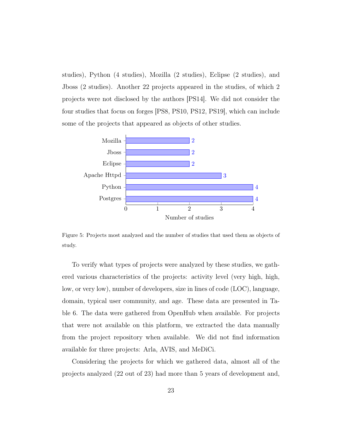studies), Python (4 studies), Mozilla (2 studies), Eclipse (2 studies), and Jboss (2 studies). Another 22 projects appeared in the studies, of which 2 projects were not disclosed by the authors [PS14]. We did not consider the four studies that focus on forges [PS8, PS10, PS12, PS19], which can include some of the projects that appeared as objects of other studies.



Figure 5: Projects most analyzed and the number of studies that used them as objects of study.

To verify what types of projects were analyzed by these studies, we gathered various characteristics of the projects: activity level (very high, high, low, or very low), number of developers, size in lines of code (LOC), language, domain, typical user community, and age. These data are presented in Table 6. The data were gathered from OpenHub when available. For projects that were not available on this platform, we extracted the data manually from the project repository when available. We did not find information available for three projects: Arla, AVIS, and MeDiCi.

Considering the projects for which we gathered data, almost all of the projects analyzed (22 out of 23) had more than 5 years of development and,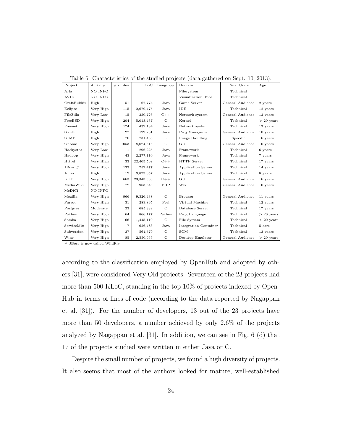| Project     | Activity  | $\#$ of dev    | LoC        | Language      | Domain                    | Final Users      | Age          |
|-------------|-----------|----------------|------------|---------------|---------------------------|------------------|--------------|
| Arla        | NO INFO   |                |            |               | Filesystem                | Technical        |              |
| <b>AVID</b> | NO INFO   |                |            |               | Visualization Tool        | Technical        |              |
| CraftBukkit | High      | 51             | 67,774     | Java          | Game Server               | General Audience | 2 years      |
| Eclipse     | Very High | 115            | 2,679,475  | Java          | IDE                       | Technical        | 12 years     |
| FileZilla   | Very Low  | 15             | 250,726    | $C++$         | Network system            | General Audience | 12 years     |
| FreeBSD     | Very High | 204            | 5,013,437  | $\mathbf C$   | Kernel                    | Technical        | $> 20$ years |
| Freenet     | Very High | 174            | 439,184    | Java          | Network system            | Technical        | 13 years     |
| Gantt       | High      | 27             | 122,261    | Java          | Proj Management           | General Audience | $10$ years   |
| <b>GIMP</b> | High      | 70             | 731,486    | $\mathcal{C}$ | Image Handling            | Specific         | 16 years     |
| Gnome       | Very High | 1053           | 8,024,516  | $\mathcal{C}$ | GUI                       | General Audience | 16 years     |
| Hackystat   | Very Low  | 1              | 296,225    | Java          | Framework                 | Technical        | 6 years      |
| Hadoop      | Very High | 43             | 2,277,110  | Java          | Framework                 | Technical        | 7 years      |
| Httpd       | Very High | 33             | 22,405,508 | $C++$         | HTTP Server               | Technical        | 17 years     |
| JBoss $#$   | Very High | 133            | 752,477    | Java          | <b>Application Server</b> | Technical        | 14 years     |
| Jonas       | High      | 12             | 9,873,057  | Java          | <b>Application Server</b> | Technical        | 8 years      |
| <b>KDE</b>  | Very High | 663            | 23,343,508 | $C++$         | GUI                       | General Audience | 16 years     |
| MediaWiki   | Very High | 172            | 963,843    | PHP           | Wiki                      | General Audience | $10$ years   |
| MeDiCi      | NO INFO   |                |            |               |                           |                  |              |
| Mozilla     | Very High | 966            | 9,326,438  | $\mathbf C$   | <b>Browser</b>            | General Audience | 11 years     |
| Parrot      | Very High | 31             | 283,895    | Perl          | Virtual Machine           | Technical        | 12 years     |
| Postgres    | Moderate  | 23             | 685,332    | $\mathcal{C}$ | Database Server           | Technical        | 17 years     |
| Python      | Very High | 64             | 866,177    | Python        | Prog Language             | Technical        | $> 20$ years |
| Samba       | Very High | 66             | 1,445,110  | $\mathcal{C}$ | File System               | Technical        | $> 20$ years |
| ServiceMix  | Very High | $\overline{7}$ | 626,483    | Java          | Integration Container     | Technical        | 5 ears       |
| Subversion  | Very High | 37             | 564,579    | $\mathcal{C}$ | <b>SCM</b>                | Technical        | 13 years     |
| Wine        | Very High | 85             | 2,550,965  | $\mathbf C$   | Desktop Emulator          | General Audience | $> 20$ years |

Table 6: Characteristics of the studied projects (data gathered on Sept. 10, 2013).

 $\#$  JBoss is now called WildFly

according to the classification employed by OpenHub and adopted by others [31], were considered Very Old projects. Seventeen of the 23 projects had more than 500 KLoC, standing in the top 10% of projects indexed by Open-Hub in terms of lines of code (according to the data reported by Nagappan et al. [31]). For the number of developers, 13 out of the 23 projects have more than 50 developers, a number achieved by only 2.6% of the projects analyzed by Nagappan et al. [31]. In addition, we can see in Fig. 6 (d) that 17 of the projects studied were written in either Java or C.

Despite the small number of projects, we found a high diversity of projects. It also seems that most of the authors looked for mature, well-established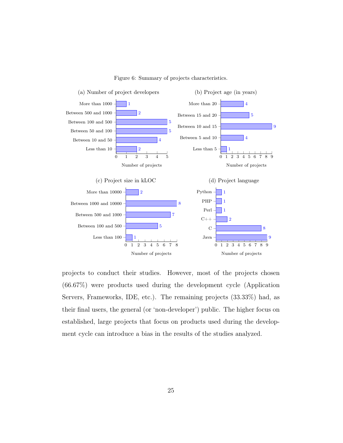

Figure 6: Summary of projects characteristics.

projects to conduct their studies. However, most of the projects chosen (66.67%) were products used during the development cycle (Application Servers, Frameworks, IDE, etc.). The remaining projects (33.33%) had, as their final users, the general (or 'non-developer') public. The higher focus on established, large projects that focus on products used during the development cycle can introduce a bias in the results of the studies analyzed.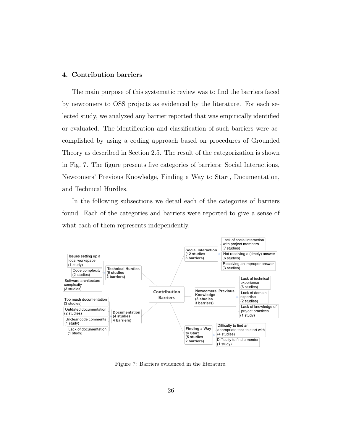# 4. Contribution barriers

The main purpose of this systematic review was to find the barriers faced by newcomers to OSS projects as evidenced by the literature. For each selected study, we analyzed any barrier reported that was empirically identified or evaluated. The identification and classification of such barriers were accomplished by using a coding approach based on procedures of Grounded Theory as described in Section 2.5. The result of the categorization is shown in Fig. 7. The figure presents five categories of barriers: Social Interactions, Newcomers' Previous Knowledge, Finding a Way to Start, Documentation, and Technical Hurdles.

In the following subsections we detail each of the categories of barriers found. Each of the categories and barriers were reported to give a sense of what each of them represents independently.



Figure 7: Barriers evidenced in the literature.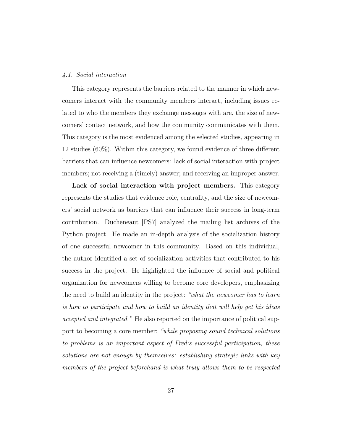#### 4.1. Social interaction

This category represents the barriers related to the manner in which newcomers interact with the community members interact, including issues related to who the members they exchange messages with are, the size of newcomers' contact network, and how the community communicates with them. This category is the most evidenced among the selected studies, appearing in 12 studies (60%). Within this category, we found evidence of three different barriers that can influence newcomers: lack of social interaction with project members; not receiving a (timely) answer; and receiving an improper answer.

Lack of social interaction with project members. This category represents the studies that evidence role, centrality, and the size of newcomers' social network as barriers that can influence their success in long-term contribution. Ducheneaut [PS7] analyzed the mailing list archives of the Python project. He made an in-depth analysis of the socialization history of one successful newcomer in this community. Based on this individual, the author identified a set of socialization activities that contributed to his success in the project. He highlighted the influence of social and political organization for newcomers willing to become core developers, emphasizing the need to build an identity in the project: "what the newcomer has to learn is how to participate and how to build an identity that will help get his ideas accepted and integrated." He also reported on the importance of political support to becoming a core member: "while proposing sound technical solutions to problems is an important aspect of Fred's successful participation, these solutions are not enough by themselves: establishing strategic links with key members of the project beforehand is what truly allows them to be respected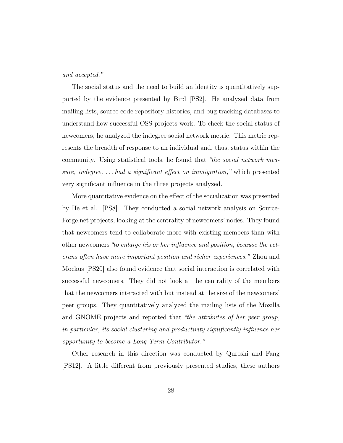## and accepted."

The social status and the need to build an identity is quantitatively supported by the evidence presented by Bird [PS2]. He analyzed data from mailing lists, source code repository histories, and bug tracking databases to understand how successful OSS projects work. To check the social status of newcomers, he analyzed the indegree social network metric. This metric represents the breadth of response to an individual and, thus, status within the community. Using statistical tools, he found that "the social network measure, indegree, ... had a significant effect on immigration," which presented very significant influence in the three projects analyzed.

More quantitative evidence on the effect of the socialization was presented by He et al. [PS8]. They conducted a social network analysis on Source-Forge.net projects, looking at the centrality of newcomers' nodes. They found that newcomers tend to collaborate more with existing members than with other newcomers "to enlarge his or her influence and position, because the veterans often have more important position and richer experiences." Zhou and Mockus [PS20] also found evidence that social interaction is correlated with successful newcomers. They did not look at the centrality of the members that the newcomers interacted with but instead at the size of the newcomers' peer groups. They quantitatively analyzed the mailing lists of the Mozilla and GNOME projects and reported that "the attributes of her peer group, in particular, its social clustering and productivity significantly influence her opportunity to become a Long Term Contributor."

Other research in this direction was conducted by Qureshi and Fang [PS12]. A little different from previously presented studies, these authors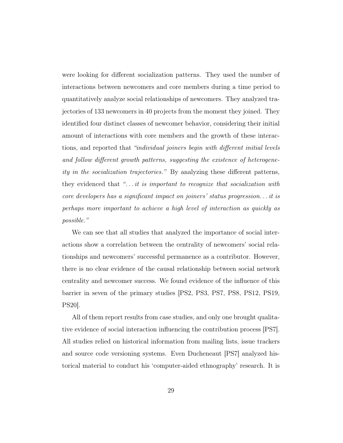were looking for different socialization patterns. They used the number of interactions between newcomers and core members during a time period to quantitatively analyze social relationships of newcomers. They analyzed trajectories of 133 newcomers in 40 projects from the moment they joined. They identified four distinct classes of newcomer behavior, considering their initial amount of interactions with core members and the growth of these interactions, and reported that "individual joiners begin with different initial levels and follow different growth patterns, suggesting the existence of heterogeneity in the socialization trajectories." By analyzing these different patterns, they evidenced that " $\dots$  it is important to recognize that socialization with core developers has a significant impact on joiners' status progression. . . it is perhaps more important to achieve a high level of interaction as quickly as possible."

We can see that all studies that analyzed the importance of social interactions show a correlation between the centrality of newcomers' social relationships and newcomers' successful permanence as a contributor. However, there is no clear evidence of the causal relationship between social network centrality and newcomer success. We found evidence of the influence of this barrier in seven of the primary studies [PS2, PS3, PS7, PS8, PS12, PS19, PS20].

All of them report results from case studies, and only one brought qualitative evidence of social interaction influencing the contribution process [PS7]. All studies relied on historical information from mailing lists, issue trackers and source code versioning systems. Even Ducheneaut [PS7] analyzed historical material to conduct his 'computer-aided ethnography' research. It is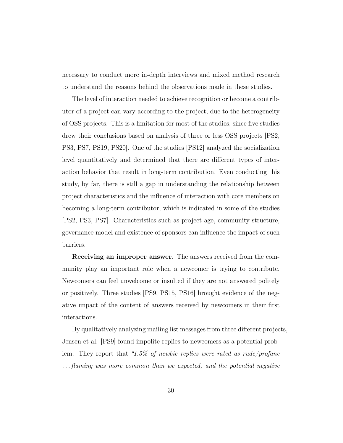necessary to conduct more in-depth interviews and mixed method research to understand the reasons behind the observations made in these studies.

The level of interaction needed to achieve recognition or become a contributor of a project can vary according to the project, due to the heterogeneity of OSS projects. This is a limitation for most of the studies, since five studies drew their conclusions based on analysis of three or less OSS projects [PS2, PS3, PS7, PS19, PS20]. One of the studies [PS12] analyzed the socialization level quantitatively and determined that there are different types of interaction behavior that result in long-term contribution. Even conducting this study, by far, there is still a gap in understanding the relationship between project characteristics and the influence of interaction with core members on becoming a long-term contributor, which is indicated in some of the studies [PS2, PS3, PS7]. Characteristics such as project age, community structure, governance model and existence of sponsors can influence the impact of such barriers.

Receiving an improper answer. The answers received from the community play an important role when a newcomer is trying to contribute. Newcomers can feel unwelcome or insulted if they are not answered politely or positively. Three studies [PS9, PS15, PS16] brought evidence of the negative impact of the content of answers received by newcomers in their first interactions.

By qualitatively analyzing mailing list messages from three different projects, Jensen et al. [PS9] found impolite replies to newcomers as a potential problem. They report that "1.5% of newbie replies were rated as rude/profane . . . flaming was more common than we expected, and the potential negative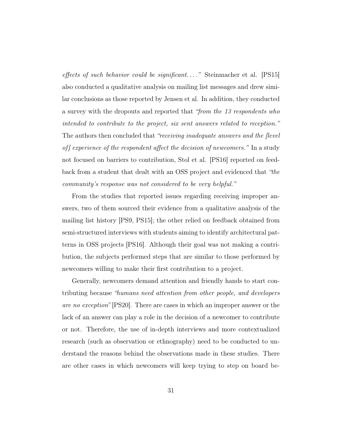effects of such behavior could be significant. . . ." Steinmacher et al. [PS15] also conducted a qualitative analysis on mailing list messages and drew similar conclusions as those reported by Jensen et al. In addition, they conducted a survey with the dropouts and reported that "from the 13 respondents who intended to contribute to the project, six sent answers related to reception." The authors then concluded that "receiving inadequate answers and the flevel of experience of the respondent affect the decision of newcomers." In a study not focused on barriers to contribution, Stol et al. [PS16] reported on feedback from a student that dealt with an OSS project and evidenced that "the community's response was not considered to be very helpful."

From the studies that reported issues regarding receiving improper answers, two of them sourced their evidence from a qualitative analysis of the mailing list history [PS9, PS15]; the other relied on feedback obtained from semi-structured interviews with students aiming to identify architectural patterns in OSS projects [PS16]. Although their goal was not making a contribution, the subjects performed steps that are similar to those performed by newcomers willing to make their first contribution to a project.

Generally, newcomers demand attention and friendly hands to start contributing because "humans need attention from other people, and developers are no exception" [PS20]. There are cases in which an improper answer or the lack of an answer can play a role in the decision of a newcomer to contribute or not. Therefore, the use of in-depth interviews and more contextualized research (such as observation or ethnography) need to be conducted to understand the reasons behind the observations made in these studies. There are other cases in which newcomers will keep trying to step on board be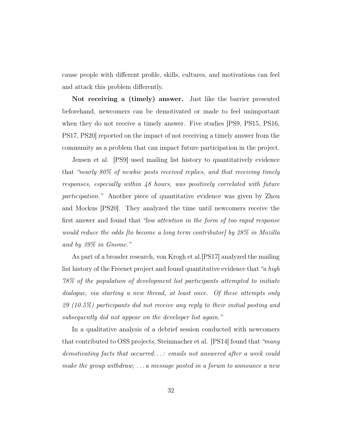cause people with different profile, skills, cultures, and motivations can feel and attack this problem differently.

Not receiving a (timely) answer. Just like the barrier presented beforehand, newcomers can be demotivated or made to feel unimportant when they do not receive a timely answer. Five studies [PS9, PS15, PS16, PS17, PS20] reported on the impact of not receiving a timely answer from the community as a problem that can impact future participation in the project.

Jensen et al. [PS9] used mailing list history to quantitatively evidence that "nearly 80% of newbie posts received replies, and that receiving timely responses, especially within 48 hours, was positively correlated with future participation." Another piece of quantitative evidence was given by Zhou and Mockus [PS20]. They analyzed the time until newcomers receive the first answer and found that "low attention in the form of too rapid response would reduce the odds [to become a long term contributor] by 28% in Mozilla and by 39% in Gnome."

As part of a broader research, von Krogh et al.[PS17] analyzed the mailing list history of the Freenet project and found quantitative evidence that "a high 78% of the population of development list participants attempted to initiate dialogue, via starting a new thread, at least once. Of these attempts only 29 (10.5%) participants did not receive any reply to their initial posting and subsequently did not appear on the developer list again."

In a qualitative analysis of a debrief session conducted with newcomers that contributed to OSS projects, Steinmacher et al. [PS14] found that "many demotivating facts that occurred. . . : emails not answered after a week could make the group withdraw;  $\dots$  a message posted in a forum to announce a new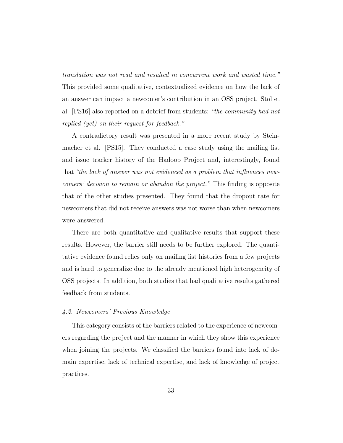translation was not read and resulted in concurrent work and wasted time." This provided some qualitative, contextualized evidence on how the lack of an answer can impact a newcomer's contribution in an OSS project. Stol et al. [PS16] also reported on a debrief from students: "the community had not replied (yet) on their request for feedback."

A contradictory result was presented in a more recent study by Steinmacher et al. [PS15]. They conducted a case study using the mailing list and issue tracker history of the Hadoop Project and, interestingly, found that "the lack of answer was not evidenced as a problem that influences newcomers' decision to remain or abandon the project." This finding is opposite that of the other studies presented. They found that the dropout rate for newcomers that did not receive answers was not worse than when newcomers were answered.

There are both quantitative and qualitative results that support these results. However, the barrier still needs to be further explored. The quantitative evidence found relies only on mailing list histories from a few projects and is hard to generalize due to the already mentioned high heterogeneity of OSS projects. In addition, both studies that had qualitative results gathered feedback from students.

#### 4.2. Newcomers' Previous Knowledge

This category consists of the barriers related to the experience of newcomers regarding the project and the manner in which they show this experience when joining the projects. We classified the barriers found into lack of domain expertise, lack of technical expertise, and lack of knowledge of project practices.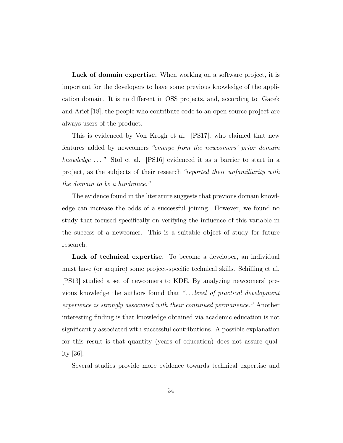Lack of domain expertise. When working on a software project, it is important for the developers to have some previous knowledge of the application domain. It is no different in OSS projects, and, according to Gacek and Arief [18], the people who contribute code to an open source project are always users of the product.

This is evidenced by Von Krogh et al. [PS17], who claimed that new features added by newcomers "emerge from the newcomers' prior domain knowledge  $\dots$  " Stol et al. [PS16] evidenced it as a barrier to start in a project, as the subjects of their research "reported their unfamiliarity with the domain to be a hindrance."

The evidence found in the literature suggests that previous domain knowledge can increase the odds of a successful joining. However, we found no study that focused specifically on verifying the influence of this variable in the success of a newcomer. This is a suitable object of study for future research.

Lack of technical expertise. To become a developer, an individual must have (or acquire) some project-specific technical skills. Schilling et al. [PS13] studied a set of newcomers to KDE. By analyzing newcomers' previous knowledge the authors found that ". . . level of practical development experience is strongly associated with their continued permanence." Another interesting finding is that knowledge obtained via academic education is not significantly associated with successful contributions. A possible explanation for this result is that quantity (years of education) does not assure quality [36].

Several studies provide more evidence towards technical expertise and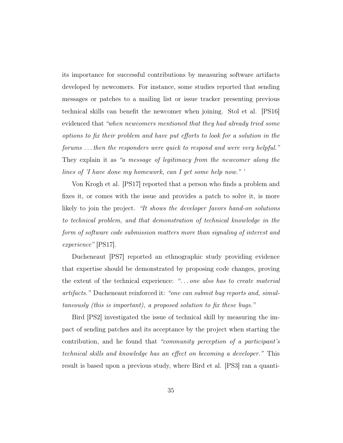its importance for successful contributions by measuring software artifacts developed by newcomers. For instance, some studies reported that sending messages or patches to a mailing list or issue tracker presenting previous technical skills can benefit the newcomer when joining. Stol et al. [PS16] evidenced that "when newcomers mentioned that they had already tried some options to fix their problem and have put efforts to look for a solution in the forums . . . then the responders were quick to respond and were very helpful." They explain it as "a message of legitimacy from the newcomer along the lines of 'I have done my homework, can I get some help now." '

Von Krogh et al. [PS17] reported that a person who finds a problem and fixes it, or comes with the issue and provides a patch to solve it, is more likely to join the project. "It shows the developer favors hand-on solutions to technical problem, and that demonstration of technical knowledge in the form of software code submission matters more than signaling of interest and experience" [PS17].

Ducheneaut [PS7] reported an ethnographic study providing evidence that expertise should be demonstrated by proposing code changes, proving the extent of the technical experience: ". . . one also has to create material artifacts." Ducheneaut reinforced it: "one can submit bug reports and, simultaneously (this is important), a proposed solution to fix these bugs."

Bird [PS2] investigated the issue of technical skill by measuring the impact of sending patches and its acceptance by the project when starting the contribution, and he found that "community perception of a participant's technical skills and knowledge has an effect on becoming a developer." This result is based upon a previous study, where Bird et al. [PS3] ran a quanti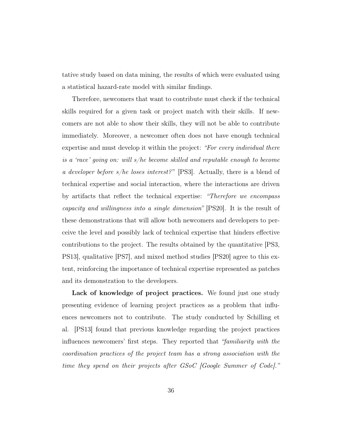tative study based on data mining, the results of which were evaluated using a statistical hazard-rate model with similar findings.

Therefore, newcomers that want to contribute must check if the technical skills required for a given task or project match with their skills. If newcomers are not able to show their skills, they will not be able to contribute immediately. Moreover, a newcomer often does not have enough technical expertise and must develop it within the project: "For every individual there is a 'race' going on: will s/he become skilled and reputable enough to become a developer before  $s/he$  loses interest?" [PS3]. Actually, there is a blend of technical expertise and social interaction, where the interactions are driven by artifacts that reflect the technical expertise: "Therefore we encompass capacity and willingness into a single dimension" [PS20]. It is the result of these demonstrations that will allow both newcomers and developers to perceive the level and possibly lack of technical expertise that hinders effective contributions to the project. The results obtained by the quantitative [PS3, PS13], qualitative [PS7], and mixed method studies [PS20] agree to this extent, reinforcing the importance of technical expertise represented as patches and its demonstration to the developers.

Lack of knowledge of project practices. We found just one study presenting evidence of learning project practices as a problem that influences newcomers not to contribute. The study conducted by Schilling et al. [PS13] found that previous knowledge regarding the project practices influences newcomers' first steps. They reported that "familiarity with the coordination practices of the project team has a strong association with the time they spend on their projects after GSoC [Google Summer of Code]."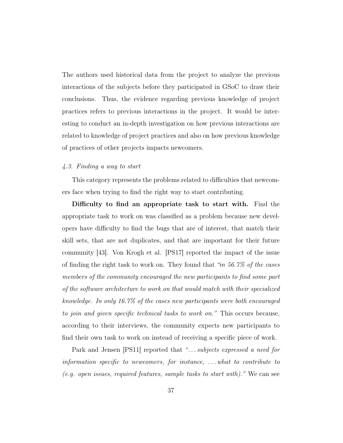The authors used historical data from the project to analyze the previous interactions of the subjects before they participated in GSoC to draw their conclusions. Thus, the evidence regarding previous knowledge of project practices refers to previous interactions in the project. It would be interesting to conduct an in-depth investigation on how previous interactions are related to knowledge of project practices and also on how previous knowledge of practices of other projects impacts newcomers.

## 4.3. Finding a way to start

This category represents the problems related to difficulties that newcomers face when trying to find the right way to start contributing.

Difficulty to find an appropriate task to start with. Find the appropriate task to work on was classified as a problem because new developers have difficulty to find the bugs that are of interest, that match their skill sets, that are not duplicates, and that are important for their future community [43]. Von Krogh et al. [PS17] reported the impact of the issue of finding the right task to work on. They found that "in 56.7% of the cases members of the community encouraged the new participants to find some part of the software architecture to work on that would match with their specialized knowledge. In only 16.7% of the cases new participants were both encouraged to join and given specific technical tasks to work on." This occurs because, according to their interviews, the community expects new participants to find their own task to work on instead of receiving a specific piece of work.

Park and Jensen [PS11] reported that "...subjects expressed a need for information specific to newcomers, for instance, . . . what to contribute to (e.g. open issues, required features, sample tasks to start with)." We can see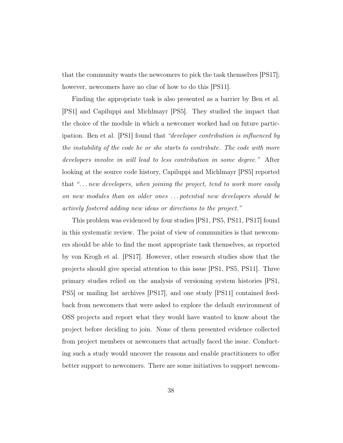that the community wants the newcomers to pick the task themselves [PS17]; however, newcomers have no clue of how to do this  $|PS11|$ .

Finding the appropriate task is also presented as a barrier by Ben et al. [PS1] and Capiluppi and Michlmayr [PS5]. They studied the impact that the choice of the module in which a newcomer worked had on future participation. Ben et al. [PS1] found that "developer contribution is influenced by the instability of the code he or she starts to contribute. The code with more developers involve in will lead to less contribution in some degree." After looking at the source code history, Capiluppi and Michlmayr [PS5] reported that "... new developers, when joining the project, tend to work more easily on new modules than on older ones . . . potential new developers should be actively fostered adding new ideas or directions to the project."

This problem was evidenced by four studies [PS1, PS5, PS11, PS17] found in this systematic review. The point of view of communities is that newcomers should be able to find the most appropriate task themselves, as reported by von Krogh et al. [PS17]. However, other research studies show that the projects should give special attention to this issue [PS1, PS5, PS11]. Three primary studies relied on the analysis of versioning system histories [PS1, PS5] or mailing list archives [PS17], and one study [PS11] contained feedback from newcomers that were asked to explore the default environment of OSS projects and report what they would have wanted to know about the project before deciding to join. None of them presented evidence collected from project members or newcomers that actually faced the issue. Conducting such a study would uncover the reasons and enable practitioners to offer better support to newcomers. There are some initiatives to support newcom-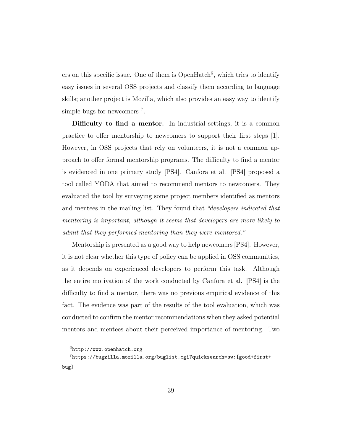ers on this specific issue. One of them is  $OpenHatch<sup>6</sup>$ , which tries to identify easy issues in several OSS projects and classify them according to language skills; another project is Mozilla, which also provides an easy way to identify simple bugs for newcomers<sup>7</sup>.

Difficulty to find a mentor. In industrial settings, it is a common practice to offer mentorship to newcomers to support their first steps [1]. However, in OSS projects that rely on volunteers, it is not a common approach to offer formal mentorship programs. The difficulty to find a mentor is evidenced in one primary study [PS4]. Canfora et al. [PS4] proposed a tool called YODA that aimed to recommend mentors to newcomers. They evaluated the tool by surveying some project members identified as mentors and mentees in the mailing list. They found that "developers indicated that mentoring is important, although it seems that developers are more likely to admit that they performed mentoring than they were mentored."

Mentorship is presented as a good way to help newcomers [PS4]. However, it is not clear whether this type of policy can be applied in OSS communities, as it depends on experienced developers to perform this task. Although the entire motivation of the work conducted by Canfora et al. [PS4] is the difficulty to find a mentor, there was no previous empirical evidence of this fact. The evidence was part of the results of the tool evaluation, which was conducted to confirm the mentor recommendations when they asked potential mentors and mentees about their perceived importance of mentoring. Two

 $6$ http://www.openhatch.org

 $7$ https://bugzilla.mozilla.org/buglist.cgi?quicksearch=sw:[good+first+

bug]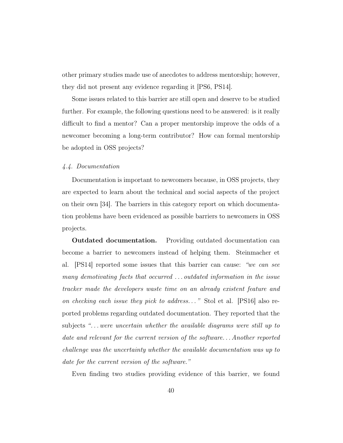other primary studies made use of anecdotes to address mentorship; however, they did not present any evidence regarding it [PS6, PS14].

Some issues related to this barrier are still open and deserve to be studied further. For example, the following questions need to be answered: is it really difficult to find a mentor? Can a proper mentorship improve the odds of a newcomer becoming a long-term contributor? How can formal mentorship be adopted in OSS projects?

## 4.4. Documentation

Documentation is important to newcomers because, in OSS projects, they are expected to learn about the technical and social aspects of the project on their own [34]. The barriers in this category report on which documentation problems have been evidenced as possible barriers to newcomers in OSS projects.

Outdated documentation. Providing outdated documentation can become a barrier to newcomers instead of helping them. Steinmacher et al. [PS14] reported some issues that this barrier can cause: "we can see many demotivating facts that occurred . .. outdated information in the issue tracker made the developers waste time on an already existent feature and on checking each issue they pick to address..." Stol et al.  $[PS16]$  also reported problems regarding outdated documentation. They reported that the subjects "... were uncertain whether the available diagrams were still up to date and relevant for the current version of the software. . . Another reported challenge was the uncertainty whether the available documentation was up to date for the current version of the software."

Even finding two studies providing evidence of this barrier, we found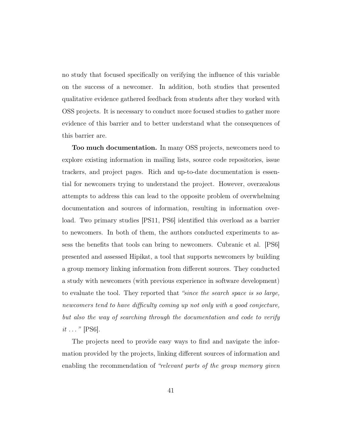no study that focused specifically on verifying the influence of this variable on the success of a newcomer. In addition, both studies that presented qualitative evidence gathered feedback from students after they worked with OSS projects. It is necessary to conduct more focused studies to gather more evidence of this barrier and to better understand what the consequences of this barrier are.

Too much documentation. In many OSS projects, newcomers need to explore existing information in mailing lists, source code repositories, issue trackers, and project pages. Rich and up-to-date documentation is essential for newcomers trying to understand the project. However, overzealous attempts to address this can lead to the opposite problem of overwhelming documentation and sources of information, resulting in information overload. Two primary studies [PS11, PS6] identified this overload as a barrier to newcomers. In both of them, the authors conducted experiments to assess the benefits that tools can bring to newcomers. Cubranic et al. [PS6] presented and assessed Hipikat, a tool that supports newcomers by building a group memory linking information from different sources. They conducted a study with newcomers (with previous experience in software development) to evaluate the tool. They reported that "since the search space is so large, newcomers tend to have difficulty coming up not only with a good conjecture, but also the way of searching through the documentation and code to verify  $it \dots$ " [PS6].

The projects need to provide easy ways to find and navigate the information provided by the projects, linking different sources of information and enabling the recommendation of "relevant parts of the group memory given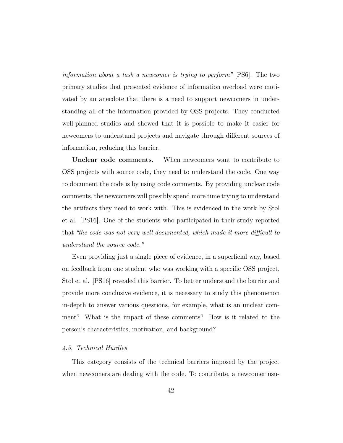information about a task a newcomer is trying to perform" [PS6]. The two primary studies that presented evidence of information overload were motivated by an anecdote that there is a need to support newcomers in understanding all of the information provided by OSS projects. They conducted well-planned studies and showed that it is possible to make it easier for newcomers to understand projects and navigate through different sources of information, reducing this barrier.

Unclear code comments. When newcomers want to contribute to OSS projects with source code, they need to understand the code. One way to document the code is by using code comments. By providing unclear code comments, the newcomers will possibly spend more time trying to understand the artifacts they need to work with. This is evidenced in the work by Stol et al. [PS16]. One of the students who participated in their study reported that "the code was not very well documented, which made it more difficult to understand the source code."

Even providing just a single piece of evidence, in a superficial way, based on feedback from one student who was working with a specific OSS project, Stol et al. [PS16] revealed this barrier. To better understand the barrier and provide more conclusive evidence, it is necessary to study this phenomenon in-depth to answer various questions, for example, what is an unclear comment? What is the impact of these comments? How is it related to the person's characteristics, motivation, and background?

## 4.5. Technical Hurdles

This category consists of the technical barriers imposed by the project when newcomers are dealing with the code. To contribute, a newcomer usu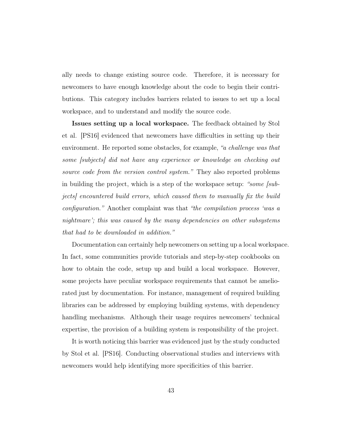ally needs to change existing source code. Therefore, it is necessary for newcomers to have enough knowledge about the code to begin their contributions. This category includes barriers related to issues to set up a local workspace, and to understand and modify the source code.

Issues setting up a local workspace. The feedback obtained by Stol et al. [PS16] evidenced that newcomers have difficulties in setting up their environment. He reported some obstacles, for example, "a *challenge was that* some [subjects] did not have any experience or knowledge on checking out source code from the version control system." They also reported problems in building the project, which is a step of the workspace setup: "some /subjects] encountered build errors, which caused them to manually fix the build configuration." Another complaint was that "the compilation process 'was a nightmare'; this was caused by the many dependencies on other subsystems that had to be downloaded in addition."

Documentation can certainly help newcomers on setting up a local workspace. In fact, some communities provide tutorials and step-by-step cookbooks on how to obtain the code, setup up and build a local workspace. However, some projects have peculiar workspace requirements that cannot be ameliorated just by documentation. For instance, management of required building libraries can be addressed by employing building systems, with dependency handling mechanisms. Although their usage requires newcomers' technical expertise, the provision of a building system is responsibility of the project.

It is worth noticing this barrier was evidenced just by the study conducted by Stol et al. [PS16]. Conducting observational studies and interviews with newcomers would help identifying more specificities of this barrier.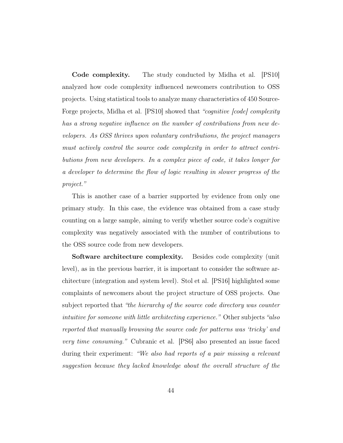Code complexity. The study conducted by Midha et al. [PS10] analyzed how code complexity influenced newcomers contribution to OSS projects. Using statistical tools to analyze many characteristics of 450 Source-Forge projects, Midha et al. [PS10] showed that "cognitive [code] complexity has a strong negative influence on the number of contributions from new developers. As OSS thrives upon voluntary contributions, the project managers must actively control the source code complexity in order to attract contributions from new developers. In a complex piece of code, it takes longer for a developer to determine the flow of logic resulting in slower progress of the project."

This is another case of a barrier supported by evidence from only one primary study. In this case, the evidence was obtained from a case study counting on a large sample, aiming to verify whether source code's cognitive complexity was negatively associated with the number of contributions to the OSS source code from new developers.

Software architecture complexity. Besides code complexity (unit level), as in the previous barrier, it is important to consider the software architecture (integration and system level). Stol et al. [PS16] highlighted some complaints of newcomers about the project structure of OSS projects. One subject reported that "the hierarchy of the source code directory was counter intuitive for someone with little architecting experience." Other subjects "also reported that manually browsing the source code for patterns was 'tricky' and very time consuming." Cubranic et al. [PS6] also presented an issue faced during their experiment: "We also had reports of a pair missing a relevant suggestion because they lacked knowledge about the overall structure of the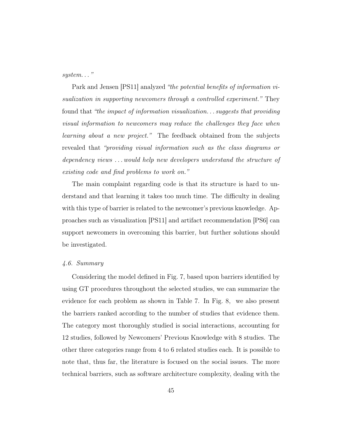system..."

Park and Jensen  $|PS11|$  analyzed "the potential benefits of information visualization in supporting newcomers through a controlled experiment." They found that "the impact of information visualization. . . suggests that providing visual information to newcomers may reduce the challenges they face when learning about a new project." The feedback obtained from the subjects revealed that "providing visual information such as the class diagrams or dependency views . . . would help new developers understand the structure of existing code and find problems to work on."

The main complaint regarding code is that its structure is hard to understand and that learning it takes too much time. The difficulty in dealing with this type of barrier is related to the newcomer's previous knowledge. Approaches such as visualization [PS11] and artifact recommendation [PS6] can support newcomers in overcoming this barrier, but further solutions should be investigated.

#### 4.6. Summary

Considering the model defined in Fig. 7, based upon barriers identified by using GT procedures throughout the selected studies, we can summarize the evidence for each problem as shown in Table 7. In Fig. 8, we also present the barriers ranked according to the number of studies that evidence them. The category most thoroughly studied is social interactions, accounting for 12 studies, followed by Newcomers' Previous Knowledge with 8 studies. The other three categories range from 4 to 6 related studies each. It is possible to note that, thus far, the literature is focused on the social issues. The more technical barriers, such as software architecture complexity, dealing with the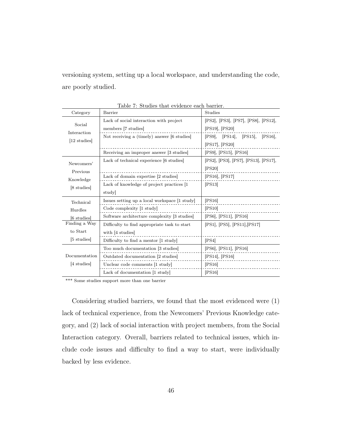versioning system, setting up a local workspace, and understanding the code, are poorly studied.

| Category                              | Barrier                                       | Studies                              |
|---------------------------------------|-----------------------------------------------|--------------------------------------|
| Social<br>Interaction<br>[12 studies] | Lack of social interaction with project       | [PS2], [PS3], [PS7], [PS8], [PS12],  |
|                                       | members [7 studies]                           | [PS19], [PS20]                       |
|                                       | Not receiving a (timely) answer [6 studies]   | [PS9], [PS14], [PS15],<br>$[PS16]$ , |
|                                       |                                               | $[PS17]$ , $[PS20]$                  |
|                                       | Receiving an improper answer [3 studies]      | $[PS9]$ , $[PS15]$ , $[PS16]$        |
| Newcomers'<br>Previous<br>Knowledge   | Lack of technical experience [6 studies]      | [PS2], [PS3], [PS7], [PS13], [PS17], |
|                                       |                                               | [PS20]                               |
|                                       | Lack of domain expertise [2 studies]          | $[PS16]$ , $[PS17]$                  |
| [8 studies]                           | Lack of knowledge of project practices [1]    | [PS13]                               |
|                                       | study                                         |                                      |
| Technical                             | Issues setting up a local workspace [1 study] | [PS16]                               |
| Hurdles                               | Code complexity [1 study]                     | [PS10]                               |
| [6 studies]                           | Software architecture complexity [3 studies]  | $[PS6]$ , $[PS11]$ , $[PS16]$        |
| Finding a Way                         | Difficulty to find appropriate task to start  | [PS1], [PS5], [PS11], [PS17]         |
| to Start                              | with $[4 \text{ studies}]$                    |                                      |
| [5 studies]                           | Difficulty to find a mentor [1 study]         | [PS4]                                |
|                                       | Too much documentation [3 studies]            | [PS6], [PS11], [PS16]                |
| Documentation                         | Outdated documentation [2 studies]            | [PS14], [PS16]                       |
| [4 studies]                           | Unclear code comments [1 study]               | [PS16]                               |
|                                       | Lack of documentation [1 study]               | [PS16]                               |

Table 7: Studies that evidence each barrier.

\*\*\* Some studies support more than one barrier

Considering studied barriers, we found that the most evidenced were (1) lack of technical experience, from the Newcomers' Previous Knowledge category, and (2) lack of social interaction with project members, from the Social Interaction category. Overall, barriers related to technical issues, which include code issues and difficulty to find a way to start, were individually backed by less evidence.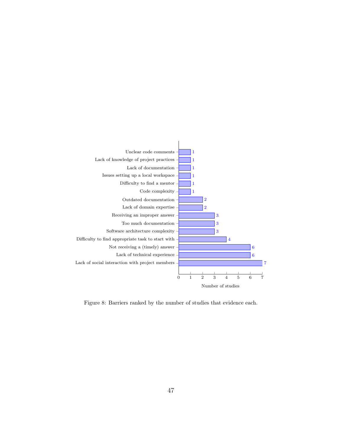

Figure 8: Barriers ranked by the number of studies that evidence each.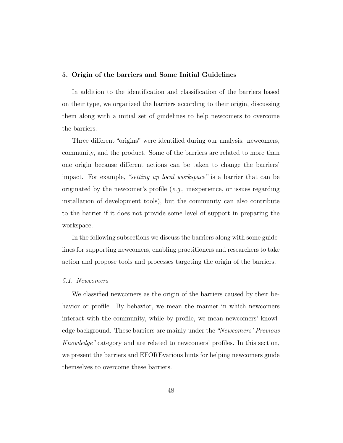## 5. Origin of the barriers and Some Initial Guidelines

In addition to the identification and classification of the barriers based on their type, we organized the barriers according to their origin, discussing them along with a initial set of guidelines to help newcomers to overcome the barriers.

Three different "origins" were identified during our analysis: newcomers, community, and the product. Some of the barriers are related to more than one origin because different actions can be taken to change the barriers' impact. For example, "setting up local workspace" is a barrier that can be originated by the newcomer's profile  $(e.g.,)$  inexperience, or issues regarding installation of development tools), but the community can also contribute to the barrier if it does not provide some level of support in preparing the workspace.

In the following subsections we discuss the barriers along with some guidelines for supporting newcomers, enabling practitioners and researchers to take action and propose tools and processes targeting the origin of the barriers.

#### 5.1. Newcomers

We classified newcomers as the origin of the barriers caused by their behavior or profile. By behavior, we mean the manner in which newcomers interact with the community, while by profile, we mean newcomers' knowledge background. These barriers are mainly under the "Newcomers' Previous Knowledge" category and are related to newcomers' profiles. In this section, we present the barriers and EFOREvarious hints for helping newcomers guide themselves to overcome these barriers.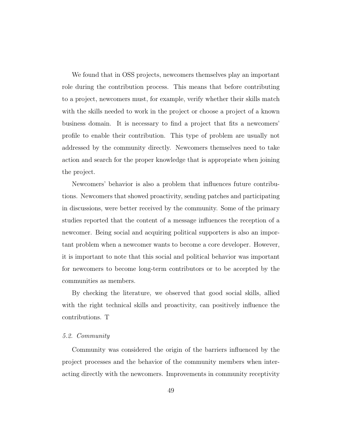We found that in OSS projects, newcomers themselves play an important role during the contribution process. This means that before contributing to a project, newcomers must, for example, verify whether their skills match with the skills needed to work in the project or choose a project of a known business domain. It is necessary to find a project that fits a newcomers' profile to enable their contribution. This type of problem are usually not addressed by the community directly. Newcomers themselves need to take action and search for the proper knowledge that is appropriate when joining the project.

Newcomers' behavior is also a problem that influences future contributions. Newcomers that showed proactivity, sending patches and participating in discussions, were better received by the community. Some of the primary studies reported that the content of a message influences the reception of a newcomer. Being social and acquiring political supporters is also an important problem when a newcomer wants to become a core developer. However, it is important to note that this social and political behavior was important for newcomers to become long-term contributors or to be accepted by the communities as members.

By checking the literature, we observed that good social skills, allied with the right technical skills and proactivity, can positively influence the contributions. T

## 5.2. Community

Community was considered the origin of the barriers influenced by the project processes and the behavior of the community members when interacting directly with the newcomers. Improvements in community receptivity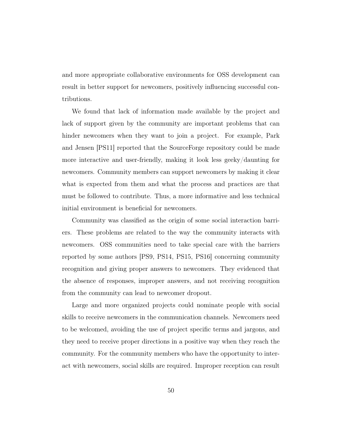and more appropriate collaborative environments for OSS development can result in better support for newcomers, positively influencing successful contributions.

We found that lack of information made available by the project and lack of support given by the community are important problems that can hinder newcomers when they want to join a project. For example, Park and Jensen [PS11] reported that the SourceForge repository could be made more interactive and user-friendly, making it look less geeky/daunting for newcomers. Community members can support newcomers by making it clear what is expected from them and what the process and practices are that must be followed to contribute. Thus, a more informative and less technical initial environment is beneficial for newcomers.

Community was classified as the origin of some social interaction barriers. These problems are related to the way the community interacts with newcomers. OSS communities need to take special care with the barriers reported by some authors [PS9, PS14, PS15, PS16] concerning community recognition and giving proper answers to newcomers. They evidenced that the absence of responses, improper answers, and not receiving recognition from the community can lead to newcomer dropout.

Large and more organized projects could nominate people with social skills to receive newcomers in the communication channels. Newcomers need to be welcomed, avoiding the use of project specific terms and jargons, and they need to receive proper directions in a positive way when they reach the community. For the community members who have the opportunity to interact with newcomers, social skills are required. Improper reception can result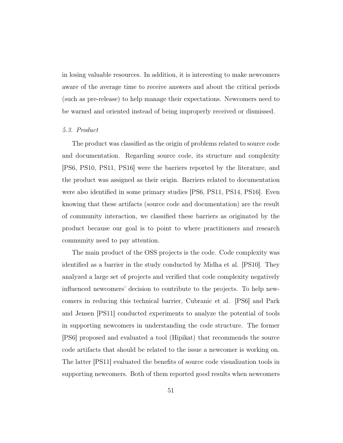in losing valuable resources. In addition, it is interesting to make newcomers aware of the average time to receive answers and about the critical periods (such as pre-release) to help manage their expectations. Newcomers need to be warned and oriented instead of being improperly received or dismissed.

## 5.3. Product

The product was classified as the origin of problems related to source code and documentation. Regarding source code, its structure and complexity [PS6, PS10, PS11, PS16] were the barriers reported by the literature, and the product was assigned as their origin. Barriers related to documentation were also identified in some primary studies [PS6, PS11, PS14, PS16]. Even knowing that these artifacts (source code and documentation) are the result of community interaction, we classified these barriers as originated by the product because our goal is to point to where practitioners and research community need to pay attention.

The main product of the OSS projects is the code. Code complexity was identified as a barrier in the study conducted by Midha et al. [PS10]. They analyzed a large set of projects and verified that code complexity negatively influenced newcomers' decision to contribute to the projects. To help newcomers in reducing this technical barrier, Cubranic et al. [PS6] and Park and Jensen [PS11] conducted experiments to analyze the potential of tools in supporting newcomers in understanding the code structure. The former [PS6] proposed and evaluated a tool (Hipikat) that recommends the source code artifacts that should be related to the issue a newcomer is working on. The latter [PS11] evaluated the benefits of source code visualization tools in supporting newcomers. Both of them reported good results when newcomers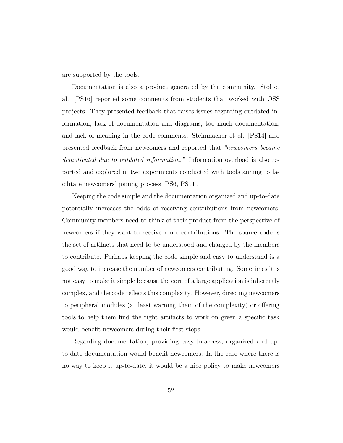are supported by the tools.

Documentation is also a product generated by the community. Stol et al. [PS16] reported some comments from students that worked with OSS projects. They presented feedback that raises issues regarding outdated information, lack of documentation and diagrams, too much documentation, and lack of meaning in the code comments. Steinmacher et al. [PS14] also presented feedback from newcomers and reported that "newcomers became demotivated due to outdated information." Information overload is also reported and explored in two experiments conducted with tools aiming to facilitate newcomers' joining process [PS6, PS11].

Keeping the code simple and the documentation organized and up-to-date potentially increases the odds of receiving contributions from newcomers. Community members need to think of their product from the perspective of newcomers if they want to receive more contributions. The source code is the set of artifacts that need to be understood and changed by the members to contribute. Perhaps keeping the code simple and easy to understand is a good way to increase the number of newcomers contributing. Sometimes it is not easy to make it simple because the core of a large application is inherently complex, and the code reflects this complexity. However, directing newcomers to peripheral modules (at least warning them of the complexity) or offering tools to help them find the right artifacts to work on given a specific task would benefit newcomers during their first steps.

Regarding documentation, providing easy-to-access, organized and upto-date documentation would benefit newcomers. In the case where there is no way to keep it up-to-date, it would be a nice policy to make newcomers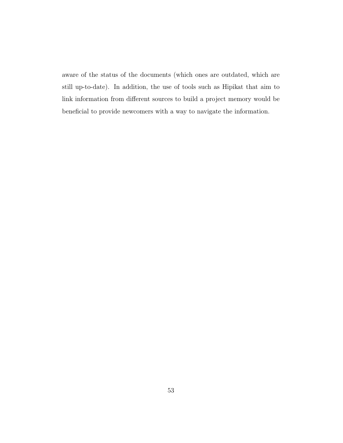aware of the status of the documents (which ones are outdated, which are still up-to-date). In addition, the use of tools such as Hipikat that aim to link information from different sources to build a project memory would be beneficial to provide newcomers with a way to navigate the information.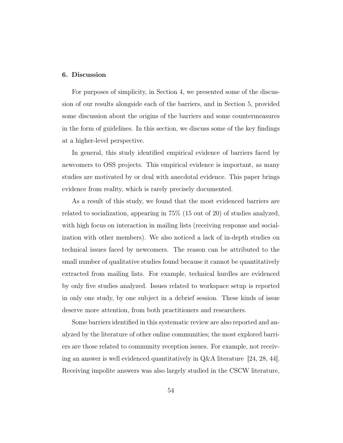#### 6. Discussion

For purposes of simplicity, in Section 4, we presented some of the discussion of our results alongside each of the barriers, and in Section 5, provided some discussion about the origins of the barriers and some countermeasures in the form of guidelines. In this section, we discuss some of the key findings at a higher-level perspective.

In general, this study identified empirical evidence of barriers faced by newcomers to OSS projects. This empirical evidence is important, as many studies are motivated by or deal with anecdotal evidence. This paper brings evidence from reality, which is rarely precisely documented.

As a result of this study, we found that the most evidenced barriers are related to socialization, appearing in 75% (15 out of 20) of studies analyzed, with high focus on interaction in mailing lists (receiving response and socialization with other members). We also noticed a lack of in-depth studies on technical issues faced by newcomers. The reason can be attributed to the small number of qualitative studies found because it cannot be quantitatively extracted from mailing lists. For example, technical hurdles are evidenced by only five studies analyzed. Issues related to workspace setup is reported in only one study, by one subject in a debrief session. These kinds of issue deserve more attention, from both practitioners and researchers.

Some barriers identified in this systematic review are also reported and analyzed by the literature of other online communities; the most explored barriers are those related to community reception issues. For example, not receiving an answer is well evidenced quantitatively in  $Q\&\text{A}$  literature [24, 28, 44]. Receiving impolite answers was also largely studied in the CSCW literature,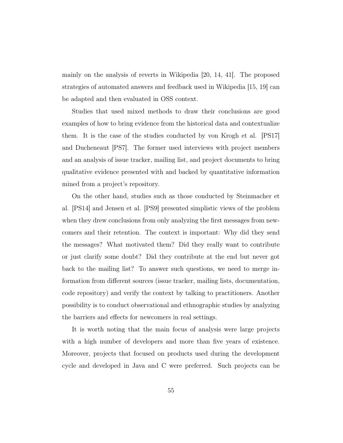mainly on the analysis of reverts in Wikipedia [20, 14, 41]. The proposed strategies of automated answers and feedback used in Wikipedia [15, 19] can be adapted and then evaluated in OSS context.

Studies that used mixed methods to draw their conclusions are good examples of how to bring evidence from the historical data and contextualize them. It is the case of the studies conducted by von Krogh et al. [PS17] and Ducheneaut [PS7]. The former used interviews with project members and an analysis of issue tracker, mailing list, and project documents to bring qualitative evidence presented with and backed by quantitative information mined from a project's repository.

On the other hand, studies such as those conducted by Steinmacher et al. [PS14] and Jensen et al. [PS9] presented simplistic views of the problem when they drew conclusions from only analyzing the first messages from newcomers and their retention. The context is important: Why did they send the messages? What motivated them? Did they really want to contribute or just clarify some doubt? Did they contribute at the end but never got back to the mailing list? To answer such questions, we need to merge information from different sources (issue tracker, mailing lists, documentation, code repository) and verify the context by talking to practitioners. Another possibility is to conduct observational and ethnographic studies by analyzing the barriers and effects for newcomers in real settings.

It is worth noting that the main focus of analysis were large projects with a high number of developers and more than five years of existence. Moreover, projects that focused on products used during the development cycle and developed in Java and C were preferred. Such projects can be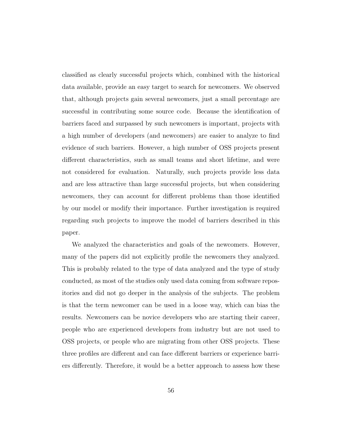classified as clearly successful projects which, combined with the historical data available, provide an easy target to search for newcomers. We observed that, although projects gain several newcomers, just a small percentage are successful in contributing some source code. Because the identification of barriers faced and surpassed by such newcomers is important, projects with a high number of developers (and newcomers) are easier to analyze to find evidence of such barriers. However, a high number of OSS projects present different characteristics, such as small teams and short lifetime, and were not considered for evaluation. Naturally, such projects provide less data and are less attractive than large successful projects, but when considering newcomers, they can account for different problems than those identified by our model or modify their importance. Further investigation is required regarding such projects to improve the model of barriers described in this paper.

We analyzed the characteristics and goals of the newcomers. However, many of the papers did not explicitly profile the newcomers they analyzed. This is probably related to the type of data analyzed and the type of study conducted, as most of the studies only used data coming from software repositories and did not go deeper in the analysis of the subjects. The problem is that the term newcomer can be used in a loose way, which can bias the results. Newcomers can be novice developers who are starting their career, people who are experienced developers from industry but are not used to OSS projects, or people who are migrating from other OSS projects. These three profiles are different and can face different barriers or experience barriers differently. Therefore, it would be a better approach to assess how these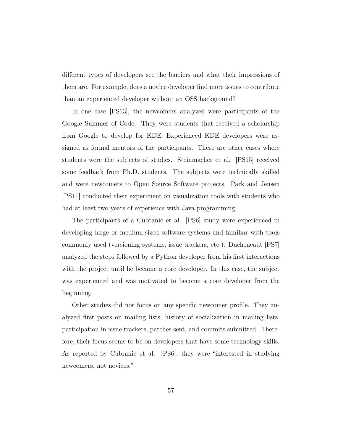different types of developers see the barriers and what their impressions of them are. For example, does a novice developer find more issues to contribute than an experienced developer without an OSS background?

In one case [PS13], the newcomers analyzed were participants of the Google Summer of Code. They were students that received a scholarship from Google to develop for KDE. Experienced KDE developers were assigned as formal mentors of the participants. There are other cases where students were the subjects of studies. Steinmacher et al. [PS15] received some feedback from Ph.D. students. The subjects were technically skilled and were newcomers to Open Source Software projects. Park and Jensen [PS11] conducted their experiment on visualization tools with students who had at least two years of experience with Java programming.

The participants of a Cubranic et al. [PS6] study were experienced in developing large or medium-sized software systems and familiar with tools commonly used (versioning systems, issue trackers, etc.). Ducheneaut [PS7] analyzed the steps followed by a Python developer from his first interactions with the project until he became a core developer. In this case, the subject was experienced and was motivated to become a core developer from the beginning.

Other studies did not focus on any specific newcomer profile. They analyzed first posts on mailing lists, history of socialization in mailing lists, participation in issue trackers, patches sent, and commits submitted. Therefore, their focus seems to be on developers that have some technology skills. As reported by Cubranic et al. [PS6], they were "interested in studying newcomers, not novices."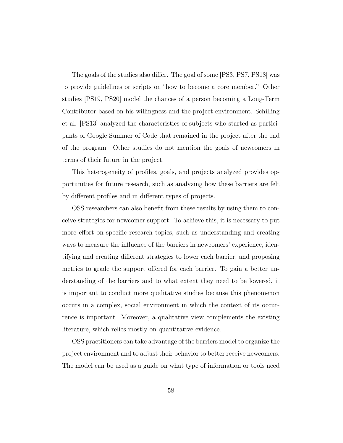The goals of the studies also differ. The goal of some [PS3, PS7, PS18] was to provide guidelines or scripts on "how to become a core member." Other studies [PS19, PS20] model the chances of a person becoming a Long-Term Contributor based on his willingness and the project environment. Schilling et al. [PS13] analyzed the characteristics of subjects who started as participants of Google Summer of Code that remained in the project after the end of the program. Other studies do not mention the goals of newcomers in terms of their future in the project.

This heterogeneity of profiles, goals, and projects analyzed provides opportunities for future research, such as analyzing how these barriers are felt by different profiles and in different types of projects.

OSS researchers can also benefit from these results by using them to conceive strategies for newcomer support. To achieve this, it is necessary to put more effort on specific research topics, such as understanding and creating ways to measure the influence of the barriers in newcomers' experience, identifying and creating different strategies to lower each barrier, and proposing metrics to grade the support offered for each barrier. To gain a better understanding of the barriers and to what extent they need to be lowered, it is important to conduct more qualitative studies because this phenomenon occurs in a complex, social environment in which the context of its occurrence is important. Moreover, a qualitative view complements the existing literature, which relies mostly on quantitative evidence.

OSS practitioners can take advantage of the barriers model to organize the project environment and to adjust their behavior to better receive newcomers. The model can be used as a guide on what type of information or tools need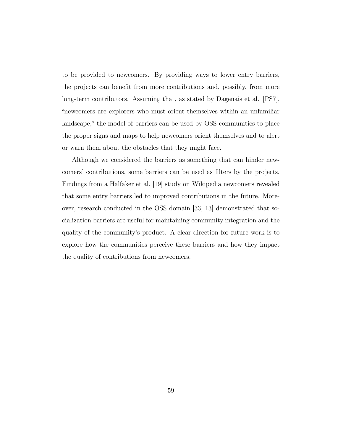to be provided to newcomers. By providing ways to lower entry barriers, the projects can benefit from more contributions and, possibly, from more long-term contributors. Assuming that, as stated by Dagenais et al. [PS7], "newcomers are explorers who must orient themselves within an unfamiliar landscape," the model of barriers can be used by OSS communities to place the proper signs and maps to help newcomers orient themselves and to alert or warn them about the obstacles that they might face.

Although we considered the barriers as something that can hinder newcomers' contributions, some barriers can be used as filters by the projects. Findings from a Halfaker et al. [19] study on Wikipedia newcomers revealed that some entry barriers led to improved contributions in the future. Moreover, research conducted in the OSS domain [33, 13] demonstrated that socialization barriers are useful for maintaining community integration and the quality of the community's product. A clear direction for future work is to explore how the communities perceive these barriers and how they impact the quality of contributions from newcomers.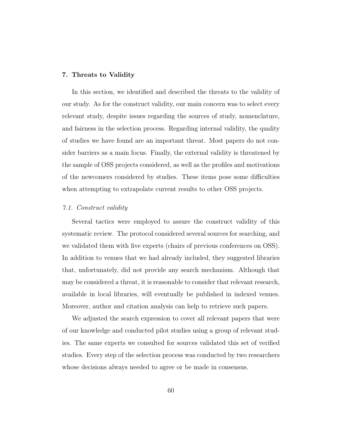### 7. Threats to Validity

In this section, we identified and described the threats to the validity of our study. As for the construct validity, our main concern was to select every relevant study, despite issues regarding the sources of study, nomenclature, and fairness in the selection process. Regarding internal validity, the quality of studies we have found are an important threat. Most papers do not consider barriers as a main focus. Finally, the external validity is threatened by the sample of OSS projects considered, as well as the profiles and motivations of the newcomers considered by studies. These items pose some difficulties when attempting to extrapolate current results to other OSS projects.

### 7.1. Construct validity

Several tactics were employed to assure the construct validity of this systematic review. The protocol considered several sources for searching, and we validated them with five experts (chairs of previous conferences on OSS). In addition to venues that we had already included, they suggested libraries that, unfortunately, did not provide any search mechanism. Although that may be considered a threat, it is reasonable to consider that relevant research, available in local libraries, will eventually be published in indexed venues. Moreover, author and citation analysis can help to retrieve such papers.

We adjusted the search expression to cover all relevant papers that were of our knowledge and conducted pilot studies using a group of relevant studies. The same experts we consulted for sources validated this set of verified studies. Every step of the selection process was conducted by two researchers whose decisions always needed to agree or be made in consensus.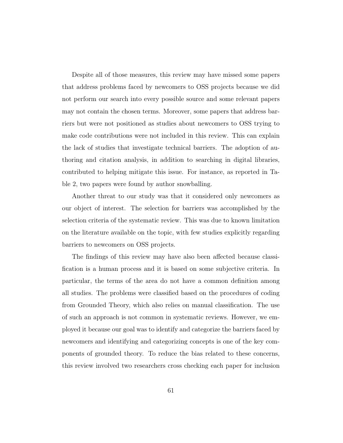Despite all of those measures, this review may have missed some papers that address problems faced by newcomers to OSS projects because we did not perform our search into every possible source and some relevant papers may not contain the chosen terms. Moreover, some papers that address barriers but were not positioned as studies about newcomers to OSS trying to make code contributions were not included in this review. This can explain the lack of studies that investigate technical barriers. The adoption of authoring and citation analysis, in addition to searching in digital libraries, contributed to helping mitigate this issue. For instance, as reported in Table 2, two papers were found by author snowballing.

Another threat to our study was that it considered only newcomers as our object of interest. The selection for barriers was accomplished by the selection criteria of the systematic review. This was due to known limitation on the literature available on the topic, with few studies explicitly regarding barriers to newcomers on OSS projects.

The findings of this review may have also been affected because classification is a human process and it is based on some subjective criteria. In particular, the terms of the area do not have a common definition among all studies. The problems were classified based on the procedures of coding from Grounded Theory, which also relies on manual classification. The use of such an approach is not common in systematic reviews. However, we employed it because our goal was to identify and categorize the barriers faced by newcomers and identifying and categorizing concepts is one of the key components of grounded theory. To reduce the bias related to these concerns, this review involved two researchers cross checking each paper for inclusion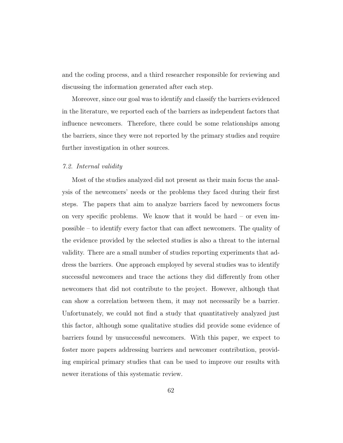and the coding process, and a third researcher responsible for reviewing and discussing the information generated after each step.

Moreover, since our goal was to identify and classify the barriers evidenced in the literature, we reported each of the barriers as independent factors that influence newcomers. Therefore, there could be some relationships among the barriers, since they were not reported by the primary studies and require further investigation in other sources.

## 7.2. Internal validity

Most of the studies analyzed did not present as their main focus the analysis of the newcomers' needs or the problems they faced during their first steps. The papers that aim to analyze barriers faced by newcomers focus on very specific problems. We know that it would be hard – or even impossible – to identify every factor that can affect newcomers. The quality of the evidence provided by the selected studies is also a threat to the internal validity. There are a small number of studies reporting experiments that address the barriers. One approach employed by several studies was to identify successful newcomers and trace the actions they did differently from other newcomers that did not contribute to the project. However, although that can show a correlation between them, it may not necessarily be a barrier. Unfortunately, we could not find a study that quantitatively analyzed just this factor, although some qualitative studies did provide some evidence of barriers found by unsuccessful newcomers. With this paper, we expect to foster more papers addressing barriers and newcomer contribution, providing empirical primary studies that can be used to improve our results with newer iterations of this systematic review.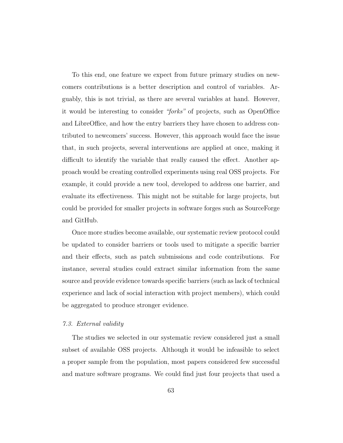To this end, one feature we expect from future primary studies on newcomers contributions is a better description and control of variables. Arguably, this is not trivial, as there are several variables at hand. However, it would be interesting to consider "forks" of projects, such as OpenOffice and LibreOffice, and how the entry barriers they have chosen to address contributed to newcomers' success. However, this approach would face the issue that, in such projects, several interventions are applied at once, making it difficult to identify the variable that really caused the effect. Another approach would be creating controlled experiments using real OSS projects. For example, it could provide a new tool, developed to address one barrier, and evaluate its effectiveness. This might not be suitable for large projects, but could be provided for smaller projects in software forges such as SourceForge and GitHub.

Once more studies become available, our systematic review protocol could be updated to consider barriers or tools used to mitigate a specific barrier and their effects, such as patch submissions and code contributions. For instance, several studies could extract similar information from the same source and provide evidence towards specific barriers (such as lack of technical experience and lack of social interaction with project members), which could be aggregated to produce stronger evidence.

# 7.3. External validity

The studies we selected in our systematic review considered just a small subset of available OSS projects. Although it would be infeasible to select a proper sample from the population, most papers considered few successful and mature software programs. We could find just four projects that used a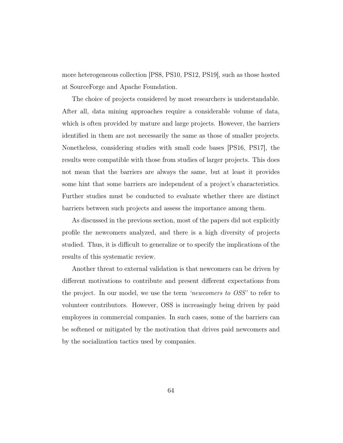more heterogeneous collection [PS8, PS10, PS12, PS19], such as those hosted at SourceForge and Apache Foundation.

The choice of projects considered by most researchers is understandable. After all, data mining approaches require a considerable volume of data, which is often provided by mature and large projects. However, the barriers identified in them are not necessarily the same as those of smaller projects. Nonetheless, considering studies with small code bases [PS16, PS17], the results were compatible with those from studies of larger projects. This does not mean that the barriers are always the same, but at least it provides some hint that some barriers are independent of a project's characteristics. Further studies must be conducted to evaluate whether there are distinct barriers between such projects and assess the importance among them.

As discussed in the previous section, most of the papers did not explicitly profile the newcomers analyzed, and there is a high diversity of projects studied. Thus, it is difficult to generalize or to specify the implications of the results of this systematic review.

Another threat to external validation is that newcomers can be driven by different motivations to contribute and present different expectations from the project. In our model, we use the term 'newcomers to OSS' to refer to volunteer contributors. However, OSS is increasingly being driven by paid employees in commercial companies. In such cases, some of the barriers can be softened or mitigated by the motivation that drives paid newcomers and by the socialization tactics used by companies.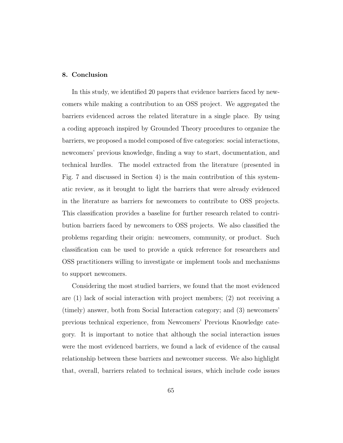### 8. Conclusion

In this study, we identified 20 papers that evidence barriers faced by newcomers while making a contribution to an OSS project. We aggregated the barriers evidenced across the related literature in a single place. By using a coding approach inspired by Grounded Theory procedures to organize the barriers, we proposed a model composed of five categories: social interactions, newcomers' previous knowledge, finding a way to start, documentation, and technical hurdles. The model extracted from the literature (presented in Fig. 7 and discussed in Section 4) is the main contribution of this systematic review, as it brought to light the barriers that were already evidenced in the literature as barriers for newcomers to contribute to OSS projects. This classification provides a baseline for further research related to contribution barriers faced by newcomers to OSS projects. We also classified the problems regarding their origin: newcomers, community, or product. Such classification can be used to provide a quick reference for researchers and OSS practitioners willing to investigate or implement tools and mechanisms to support newcomers.

Considering the most studied barriers, we found that the most evidenced are (1) lack of social interaction with project members; (2) not receiving a (timely) answer, both from Social Interaction category; and (3) newcomers' previous technical experience, from Newcomers' Previous Knowledge category. It is important to notice that although the social interaction issues were the most evidenced barriers, we found a lack of evidence of the causal relationship between these barriers and newcomer success. We also highlight that, overall, barriers related to technical issues, which include code issues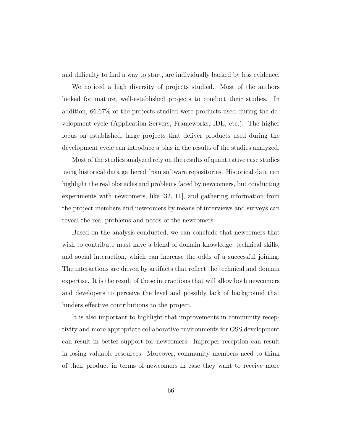and difficulty to find a way to start, are individually backed by less evidence.

We noticed a high diversity of projects studied. Most of the authors looked for mature, well-established projects to conduct their studies. In addition, 66.67% of the projects studied were products used during the development cycle (Application Servers, Frameworks, IDE, etc.). The higher focus on established, large projects that deliver products used during the development cycle can introduce a bias in the results of the studies analyzed.

Most of the studies analyzed rely on the results of quantitative case studies using historical data gathered from software repositories. Historical data can highlight the real obstacles and problems faced by newcomers, but conducting experiments with newcomers, like [32, 11], and gathering information from the project members and newcomers by means of interviews and surveys can reveal the real problems and needs of the newcomers.

Based on the analysis conducted, we can conclude that newcomers that wish to contribute must have a blend of domain knowledge, technical skills, and social interaction, which can increase the odds of a successful joining. The interactions are driven by artifacts that reflect the technical and domain expertise. It is the result of these interactions that will allow both newcomers and developers to perceive the level and possibly lack of background that hinders effective contributions to the project.

It is also important to highlight that improvements in community receptivity and more appropriate collaborative environments for OSS development can result in better support for newcomers. Improper reception can result in losing valuable resources. Moreover, community members need to think of their product in terms of newcomers in case they want to receive more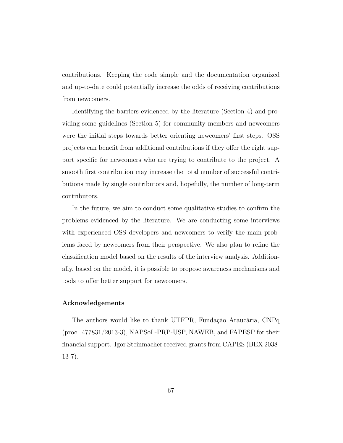contributions. Keeping the code simple and the documentation organized and up-to-date could potentially increase the odds of receiving contributions from newcomers.

Identifying the barriers evidenced by the literature (Section 4) and providing some guidelines (Section 5) for community members and newcomers were the initial steps towards better orienting newcomers' first steps. OSS projects can benefit from additional contributions if they offer the right support specific for newcomers who are trying to contribute to the project. A smooth first contribution may increase the total number of successful contributions made by single contributors and, hopefully, the number of long-term contributors.

In the future, we aim to conduct some qualitative studies to confirm the problems evidenced by the literature. We are conducting some interviews with experienced OSS developers and newcomers to verify the main problems faced by newcomers from their perspective. We also plan to refine the classification model based on the results of the interview analysis. Additionally, based on the model, it is possible to propose awareness mechanisms and tools to offer better support for newcomers.

## Acknowledgements

The authors would like to thank UTFPR, Fundação Araucária, CNPq (proc. 477831/2013-3), NAPSoL-PRP-USP, NAWEB, and FAPESP for their financial support. Igor Steinmacher received grants from CAPES (BEX 2038- 13-7).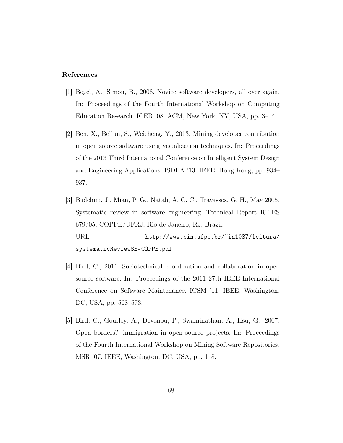## References

- [1] Begel, A., Simon, B., 2008. Novice software developers, all over again. In: Proceedings of the Fourth International Workshop on Computing Education Research. ICER '08. ACM, New York, NY, USA, pp. 3–14.
- [2] Ben, X., Beijun, S., Weicheng, Y., 2013. Mining developer contribution in open source software using visualization techniques. In: Proceedings of the 2013 Third International Conference on Intelligent System Design and Engineering Applications. ISDEA '13. IEEE, Hong Kong, pp. 934– 937.
- [3] Biolchini, J., Mian, P. G., Natali, A. C. C., Travassos, G. H., May 2005. Systematic review in software engineering. Technical Report RT-ES 679/05, COPPE/UFRJ, Rio de Janeiro, RJ, Brazil. URL http://www.cin.ufpe.br/~in1037/leitura/ systematicReviewSE-COPPE.pdf
- [4] Bird, C., 2011. Sociotechnical coordination and collaboration in open source software. In: Proceedings of the 2011 27th IEEE International Conference on Software Maintenance. ICSM '11. IEEE, Washington, DC, USA, pp. 568–573.
- [5] Bird, C., Gourley, A., Devanbu, P., Swaminathan, A., Hsu, G., 2007. Open borders? immigration in open source projects. In: Proceedings of the Fourth International Workshop on Mining Software Repositories. MSR '07. IEEE, Washington, DC, USA, pp. 1–8.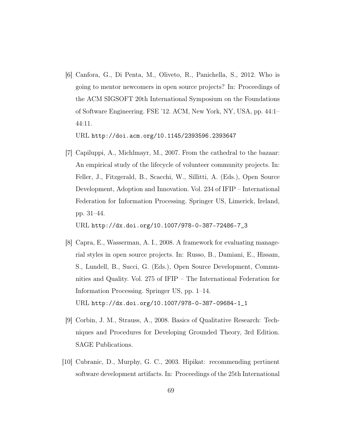[6] Canfora, G., Di Penta, M., Oliveto, R., Panichella, S., 2012. Who is going to mentor newcomers in open source projects? In: Proceedings of the ACM SIGSOFT 20th International Symposium on the Foundations of Software Engineering. FSE '12. ACM, New York, NY, USA, pp. 44:1– 44:11.

URL http://doi.acm.org/10.1145/2393596.2393647

- [7] Capiluppi, A., Michlmayr, M., 2007. From the cathedral to the bazaar: An empirical study of the lifecycle of volunteer community projects. In: Feller, J., Fitzgerald, B., Scacchi, W., Sillitti, A. (Eds.), Open Source Development, Adoption and Innovation. Vol. 234 of IFIP – International Federation for Information Processing. Springer US, Limerick, Ireland, pp. 31–44. URL http://dx.doi.org/10.1007/978-0-387-72486-7\_3
- [8] Capra, E., Wasserman, A. I., 2008. A framework for evaluating managerial styles in open source projects. In: Russo, B., Damiani, E., Hissam, S., Lundell, B., Succi, G. (Eds.), Open Source Development, Communities and Quality. Vol. 275 of IFIP – The International Federation for Information Processing. Springer US, pp. 1–14. URL http://dx.doi.org/10.1007/978-0-387-09684-1\_1
- [9] Corbin, J. M., Strauss, A., 2008. Basics of Qualitative Research: Techniques and Procedures for Developing Grounded Theory, 3rd Edition. SAGE Publications.
- [10] Cubranic, D., Murphy, G. C., 2003. Hipikat: recommending pertinent software development artifacts. In: Proceedings of the 25th International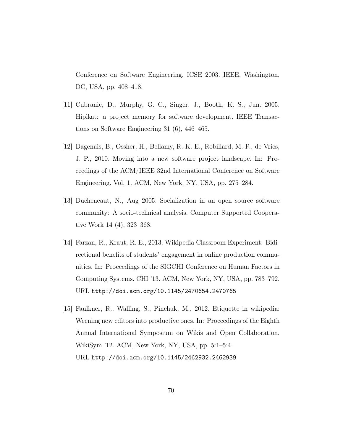Conference on Software Engineering. ICSE 2003. IEEE, Washington, DC, USA, pp. 408–418.

- [11] Cubranic, D., Murphy, G. C., Singer, J., Booth, K. S., Jun. 2005. Hipikat: a project memory for software development. IEEE Transactions on Software Engineering 31 (6), 446–465.
- [12] Dagenais, B., Ossher, H., Bellamy, R. K. E., Robillard, M. P., de Vries, J. P., 2010. Moving into a new software project landscape. In: Proceedings of the ACM/IEEE 32nd International Conference on Software Engineering. Vol. 1. ACM, New York, NY, USA, pp. 275–284.
- [13] Ducheneaut, N., Aug 2005. Socialization in an open source software community: A socio-technical analysis. Computer Supported Cooperative Work 14 (4), 323–368.
- [14] Farzan, R., Kraut, R. E., 2013. Wikipedia Classroom Experiment: Bidirectional benefits of students' engagement in online production communities. In: Proceedings of the SIGCHI Conference on Human Factors in Computing Systems. CHI '13. ACM, New York, NY, USA, pp. 783–792. URL http://doi.acm.org/10.1145/2470654.2470765
- [15] Faulkner, R., Walling, S., Pinchuk, M., 2012. Etiquette in wikipedia: Weening new editors into productive ones. In: Proceedings of the Eighth Annual International Symposium on Wikis and Open Collaboration. WikiSym '12. ACM, New York, NY, USA, pp. 5:1–5:4. URL http://doi.acm.org/10.1145/2462932.2462939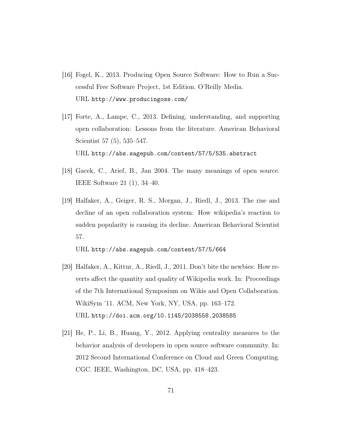- [16] Fogel, K., 2013. Producing Open Source Software: How to Run a Successful Free Software Project, 1st Edition. O'Reilly Media. URL http://www.producingoss.com/
- [17] Forte, A., Lampe, C., 2013. Defining, understanding, and supporting open collaboration: Lessons from the literature. American Behavioral Scientist 57 (5), 535–547. URL http://abs.sagepub.com/content/57/5/535.abstract
- [18] Gacek, C., Arief, B., Jan 2004. The many meanings of open source. IEEE Software 21 (1), 34–40.
- [19] Halfaker, A., Geiger, R. S., Morgan, J., Riedl, J., 2013. The rise and decline of an open collaboration system: How wikipedia's reaction to sudden popularity is causing its decline. American Behavioral Scientist 57.

URL http://abs.sagepub.com/content/57/5/664

- [20] Halfaker, A., Kittur, A., Riedl, J., 2011. Don't bite the newbies: How reverts affect the quantity and quality of Wikipedia work. In: Proceedings of the 7th International Symposium on Wikis and Open Collaboration. WikiSym '11. ACM, New York, NY, USA, pp. 163–172. URL http://doi.acm.org/10.1145/2038558.2038585
- [21] He, P., Li, B., Huang, Y., 2012. Applying centrality measures to the behavior analysis of developers in open source software community. In: 2012 Second International Conference on Cloud and Green Computing. CGC. IEEE, Washington, DC, USA, pp. 418–423.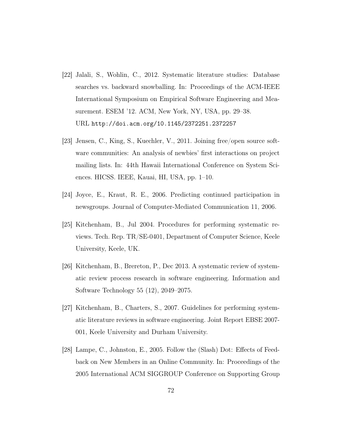- [22] Jalali, S., Wohlin, C., 2012. Systematic literature studies: Database searches vs. backward snowballing. In: Proceedings of the ACM-IEEE International Symposium on Empirical Software Engineering and Measurement. ESEM '12. ACM, New York, NY, USA, pp. 29–38. URL http://doi.acm.org/10.1145/2372251.2372257
- [23] Jensen, C., King, S., Kuechler, V., 2011. Joining free/open source software communities: An analysis of newbies' first interactions on project mailing lists. In: 44th Hawaii International Conference on System Sciences. HICSS. IEEE, Kauai, HI, USA, pp. 1–10.
- [24] Joyce, E., Kraut, R. E., 2006. Predicting continued participation in newsgroups. Journal of Computer-Mediated Communication 11, 2006.
- [25] Kitchenham, B., Jul 2004. Procedures for performing systematic reviews. Tech. Rep. TR/SE-0401, Department of Computer Science, Keele University, Keele, UK.
- [26] Kitchenham, B., Brereton, P., Dec 2013. A systematic review of systematic review process research in software engineering. Information and Software Technology 55 (12), 2049–2075.
- [27] Kitchenham, B., Charters, S., 2007. Guidelines for performing systematic literature reviews in software engineering. Joint Report EBSE 2007- 001, Keele University and Durham University.
- [28] Lampe, C., Johnston, E., 2005. Follow the (Slash) Dot: Effects of Feedback on New Members in an Online Community. In: Proceedings of the 2005 International ACM SIGGROUP Conference on Supporting Group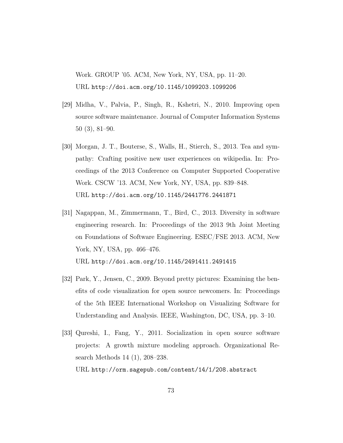Work. GROUP '05. ACM, New York, NY, USA, pp. 11–20. URL http://doi.acm.org/10.1145/1099203.1099206

- [29] Midha, V., Palvia, P., Singh, R., Kshetri, N., 2010. Improving open source software maintenance. Journal of Computer Information Systems 50 (3), 81–90.
- [30] Morgan, J. T., Bouterse, S., Walls, H., Stierch, S., 2013. Tea and sympathy: Crafting positive new user experiences on wikipedia. In: Proceedings of the 2013 Conference on Computer Supported Cooperative Work. CSCW '13. ACM, New York, NY, USA, pp. 839–848. URL http://doi.acm.org/10.1145/2441776.2441871
- [31] Nagappan, M., Zimmermann, T., Bird, C., 2013. Diversity in software engineering research. In: Proceedings of the 2013 9th Joint Meeting on Foundations of Software Engineering. ESEC/FSE 2013. ACM, New York, NY, USA, pp. 466–476. URL http://doi.acm.org/10.1145/2491411.2491415
- [32] Park, Y., Jensen, C., 2009. Beyond pretty pictures: Examining the benefits of code visualization for open source newcomers. In: Proceedings of the 5th IEEE International Workshop on Visualizing Software for Understanding and Analysis. IEEE, Washington, DC, USA, pp. 3–10.
- [33] Qureshi, I., Fang, Y., 2011. Socialization in open source software projects: A growth mixture modeling approach. Organizational Research Methods 14 (1), 208–238. URL http://orm.sagepub.com/content/14/1/208.abstract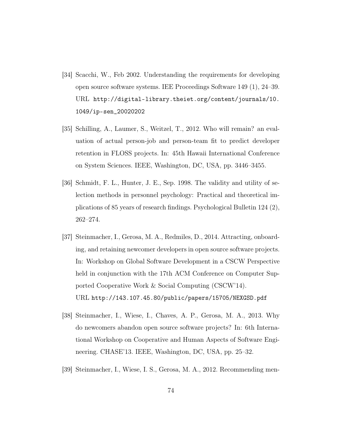- [34] Scacchi, W., Feb 2002. Understanding the requirements for developing open source software systems. IEE Proceedings Software 149 (1), 24–39. URL http://digital-library.theiet.org/content/journals/10. 1049/ip-sen\_20020202
- [35] Schilling, A., Laumer, S., Weitzel, T., 2012. Who will remain? an evaluation of actual person-job and person-team fit to predict developer retention in FLOSS projects. In: 45th Hawaii International Conference on System Sciences. IEEE, Washington, DC, USA, pp. 3446–3455.
- [36] Schmidt, F. L., Hunter, J. E., Sep. 1998. The validity and utility of selection methods in personnel psychology: Practical and theoretical implications of 85 years of research findings. Psychological Bulletin 124 (2), 262–274.
- [37] Steinmacher, I., Gerosa, M. A., Redmiles, D., 2014. Attracting, onboarding, and retaining newcomer developers in open source software projects. In: Workshop on Global Software Development in a CSCW Perspective held in conjunction with the 17th ACM Conference on Computer Supported Cooperative Work & Social Computing (CSCW'14). URL http://143.107.45.80/public/papers/15705/NEXGSD.pdf
- [38] Steinmacher, I., Wiese, I., Chaves, A. P., Gerosa, M. A., 2013. Why do newcomers abandon open source software projects? In: 6th International Workshop on Cooperative and Human Aspects of Software Engineering. CHASE'13. IEEE, Washington, DC, USA, pp. 25–32.
- [39] Steinmacher, I., Wiese, I. S., Gerosa, M. A., 2012. Recommending men-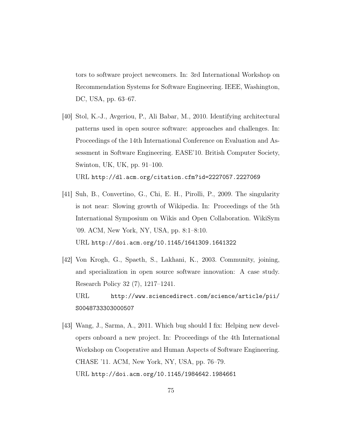tors to software project newcomers. In: 3rd International Workshop on Recommendation Systems for Software Engineering. IEEE, Washington, DC, USA, pp. 63–67.

- [40] Stol, K.-J., Avgeriou, P., Ali Babar, M., 2010. Identifying architectural patterns used in open source software: approaches and challenges. In: Proceedings of the 14th International Conference on Evaluation and Assessment in Software Engineering. EASE'10. British Computer Society, Swinton, UK, UK, pp. 91–100. URL http://dl.acm.org/citation.cfm?id=2227057.2227069
- [41] Suh, B., Convertino, G., Chi, E. H., Pirolli, P., 2009. The singularity is not near: Slowing growth of Wikipedia. In: Proceedings of the 5th International Symposium on Wikis and Open Collaboration. WikiSym '09. ACM, New York, NY, USA, pp. 8:1–8:10. URL http://doi.acm.org/10.1145/1641309.1641322
- [42] Von Krogh, G., Spaeth, S., Lakhani, K., 2003. Community, joining, and specialization in open source software innovation: A case study. Research Policy 32 (7), 1217–1241. URL http://www.sciencedirect.com/science/article/pii/ S0048733303000507
- [43] Wang, J., Sarma, A., 2011. Which bug should I fix: Helping new developers onboard a new project. In: Proceedings of the 4th International Workshop on Cooperative and Human Aspects of Software Engineering. CHASE '11. ACM, New York, NY, USA, pp. 76–79. URL http://doi.acm.org/10.1145/1984642.1984661